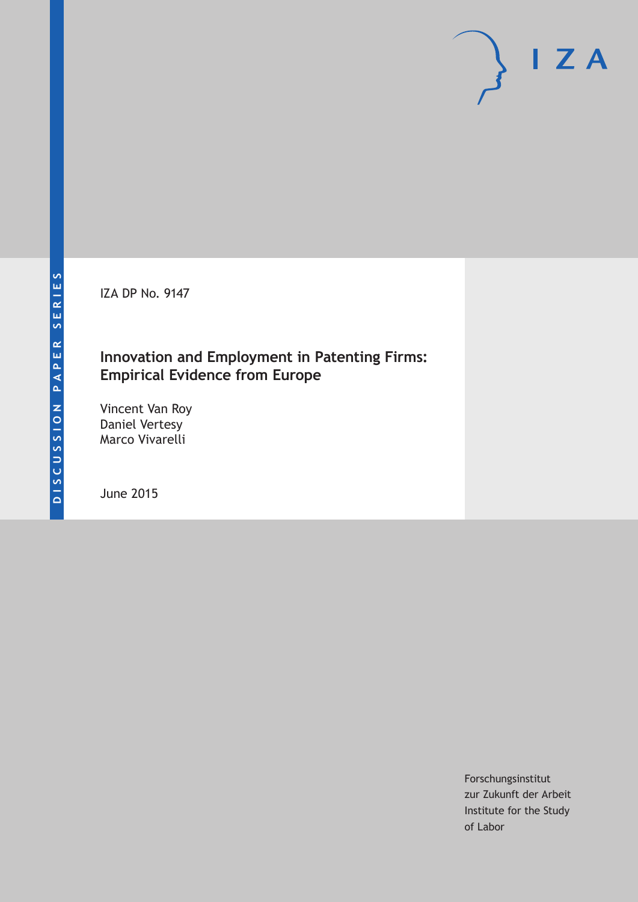IZA DP No. 9147

### **Innovation and Employment in Patenting Firms: Empirical Evidence from Europe**

Vincent Van Roy Daniel Vertesy Marco Vivarelli

June 2015

Forschungsinstitut zur Zukunft der Arbeit Institute for the Study of Labor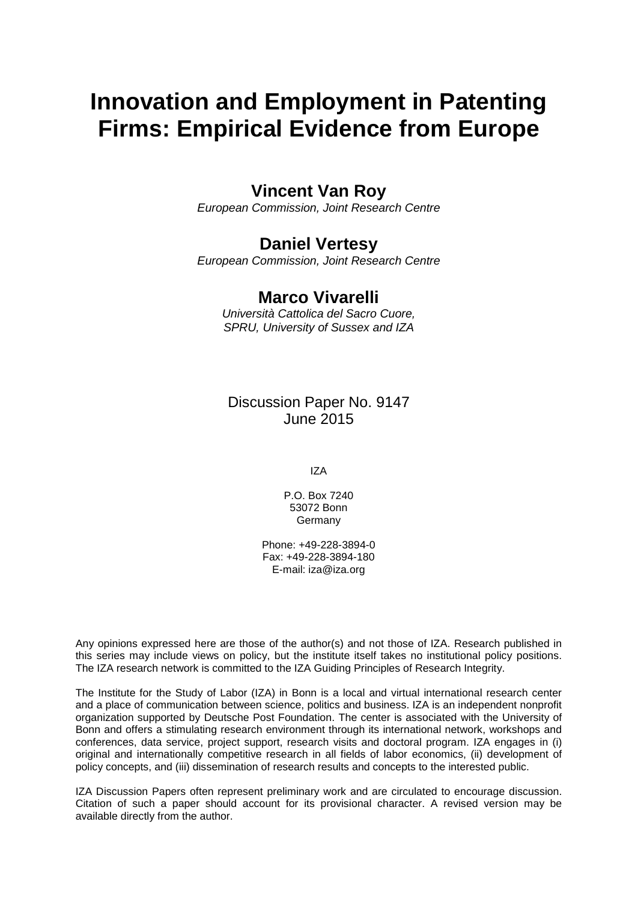# **Innovation and Employment in Patenting Firms: Empirical Evidence from Europe**

## **Vincent Van Roy**

*European Commission, Joint Research Centre*

### **Daniel Vertesy**

*European Commission, Joint Research Centre*

### **Marco Vivarelli**

*Università Cattolica del Sacro Cuore, SPRU, University of Sussex and IZA*

Discussion Paper No. 9147 June 2015

IZA

P.O. Box 7240 53072 Bonn Germany

Phone: +49-228-3894-0 Fax: +49-228-3894-180 E-mail: iza@iza.org

Any opinions expressed here are those of the author(s) and not those of IZA. Research published in this series may include views on policy, but the institute itself takes no institutional policy positions. The IZA research network is committed to the IZA Guiding Principles of Research Integrity.

The Institute for the Study of Labor (IZA) in Bonn is a local and virtual international research center and a place of communication between science, politics and business. IZA is an independent nonprofit organization supported by Deutsche Post Foundation. The center is associated with the University of Bonn and offers a stimulating research environment through its international network, workshops and conferences, data service, project support, research visits and doctoral program. IZA engages in (i) original and internationally competitive research in all fields of labor economics, (ii) development of policy concepts, and (iii) dissemination of research results and concepts to the interested public.

<span id="page-1-0"></span>IZA Discussion Papers often represent preliminary work and are circulated to encourage discussion. Citation of such a paper should account for its provisional character. A revised version may be available directly from the author.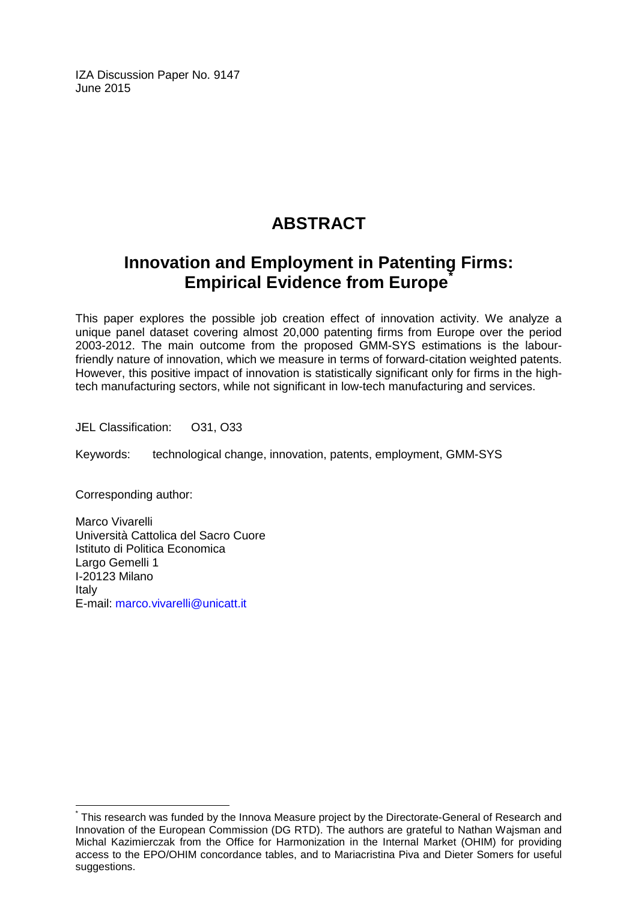IZA Discussion Paper No. 9147 June 2015

# **ABSTRACT**

# **Innovation and Employment in Patenting Firms: Empirical Evidence from Europe**<sup>[\\*](#page-1-0)</sup>

This paper explores the possible job creation effect of innovation activity. We analyze a unique panel dataset covering almost 20,000 patenting firms from Europe over the period 2003-2012. The main outcome from the proposed GMM-SYS estimations is the labourfriendly nature of innovation, which we measure in terms of forward-citation weighted patents. However, this positive impact of innovation is statistically significant only for firms in the hightech manufacturing sectors, while not significant in low-tech manufacturing and services.

JEL Classification: O31, O33

Keywords: technological change, innovation, patents, employment, GMM-SYS

Corresponding author:

Marco Vivarelli Università Cattolica del Sacro Cuore Istituto di Politica Economica Largo Gemelli 1 I-20123 Milano Italy E-mail: [marco.vivarelli@unicatt.it](mailto:marco.vivarelli@unicatt.it)

This research was funded by the Innova Measure project by the Directorate-General of Research and Innovation of the European Commission (DG RTD). The authors are grateful to Nathan Wajsman and Michal Kazimierczak from the Office for Harmonization in the Internal Market (OHIM) for providing access to the EPO/OHIM concordance tables, and to Mariacristina Piva and Dieter Somers for useful suggestions.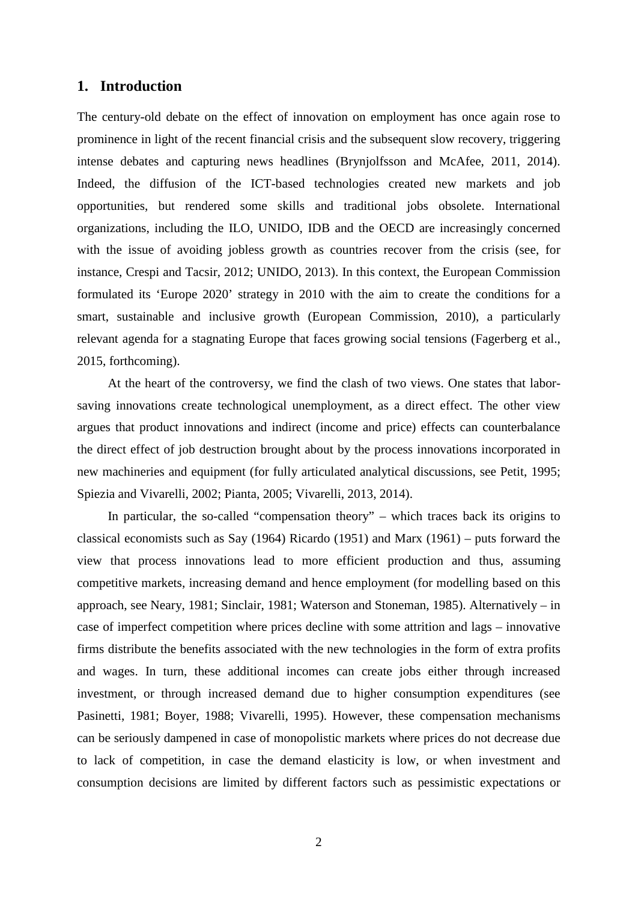#### **1. Introduction**

The century-old debate on the effect of innovation on employment has once again rose to prominence in light of the recent financial crisis and the subsequent slow recovery, triggering intense debates and capturing news headlines [\(Brynjolfsson and McAfee, 2011,](#page-20-0) [2014\)](#page-20-1). Indeed, the diffusion of the ICT-based technologies created new markets and job opportunities, but rendered some skills and traditional jobs obsolete. International organizations, including the ILO, UNIDO, IDB and the OECD are increasingly concerned with the issue of avoiding jobless growth as countries recover from the crisis (see, for instance, [Crespi and Tacsir, 2012;](#page-20-2) [UNIDO, 2013\)](#page-22-0). In this context, the European Commission formulated its 'Europe 2020' strategy in 2010 with the aim to create the conditions for a smart, sustainable and inclusive growth [\(European Commission, 2010\)](#page-21-0), a particularly relevant agenda for a stagnating Europe that faces growing social tensions [\(Fagerberg et al.,](#page-21-1)  [2015, forthcoming\)](#page-21-1).

At the heart of the controversy, we find the clash of two views. One states that laborsaving innovations create technological unemployment, as a direct effect. The other view argues that product innovations and indirect (income and price) effects can counterbalance the direct effect of job destruction brought about by the process innovations incorporated in new machineries and equipment (for fully articulated analytical discussions, see [Petit, 1995;](#page-22-1) [Spiezia and Vivarelli, 2002;](#page-22-2) [Pianta, 2005;](#page-22-3) [Vivarelli, 2013,](#page-22-4) [2014\)](#page-22-5).

In particular, the so-called "compensation theory" – which traces back its origins to classical economists such as Say [\(1964\)](#page-22-6) [Ricardo \(1951\)](#page-22-7) and [Marx \(1961\)](#page-22-8) – puts forward the view that process innovations lead to more efficient production and thus, assuming competitive markets, increasing demand and hence employment (for modelling based on this approach, see [Neary, 1981;](#page-22-9) [Sinclair, 1981;](#page-22-10) [Waterson and Stoneman, 1985\)](#page-23-0). Alternatively – in case of imperfect competition where prices decline with some attrition and lags – innovative firms distribute the benefits associated with the new technologies in the form of extra profits and wages. In turn, these additional incomes can create jobs either through increased investment, or through increased demand due to higher consumption expenditures (see [Pasinetti, 1981;](#page-22-11) [Boyer, 1988;](#page-20-3) [Vivarelli, 1995\)](#page-22-12). However, these compensation mechanisms can be seriously dampened in case of monopolistic markets where prices do not decrease due to lack of competition, in case the demand elasticity is low, or when investment and consumption decisions are limited by different factors such as pessimistic expectations or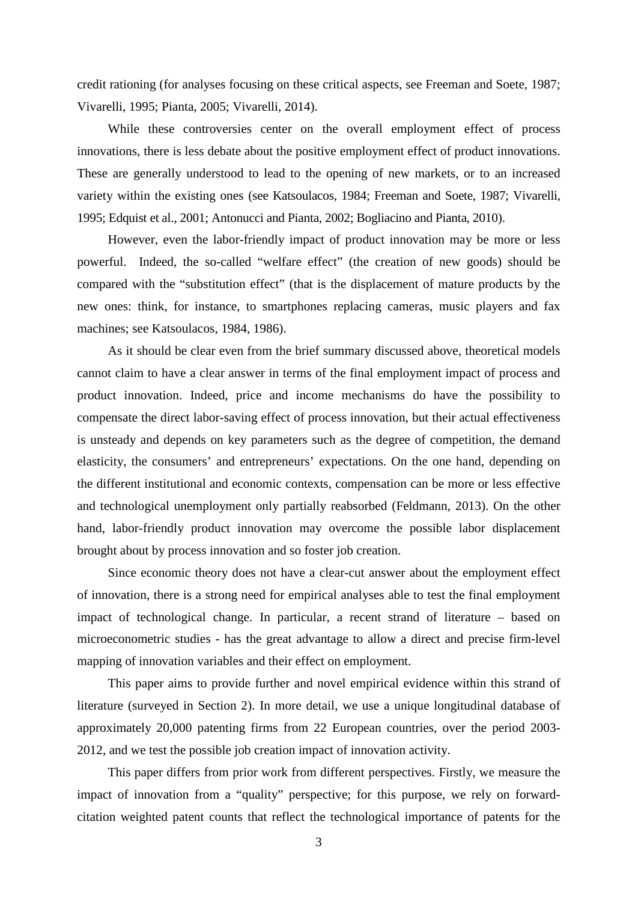credit rationing (for analyses focusing on these critical aspects, see [Freeman and Soete, 1987;](#page-21-2) [Vivarelli, 1995;](#page-22-12) [Pianta, 2005;](#page-22-3) [Vivarelli, 2014\)](#page-22-5).

While these controversies center on the overall employment effect of process innovations, there is less debate about the positive employment effect of product innovations. These are generally understood to lead to the opening of new markets, or to an increased variety within the existing ones (see [Katsoulacos, 1984;](#page-21-3) [Freeman and Soete, 1987;](#page-21-2) [Vivarelli,](#page-22-12)  [1995;](#page-22-12) [Edquist et al., 2001;](#page-20-4) [Antonucci and Pianta, 2002;](#page-20-5) [Bogliacino and Pianta, 2010\)](#page-20-6).

However, even the labor-friendly impact of product innovation may be more or less powerful. Indeed, the so-called "welfare effect" (the creation of new goods) should be compared with the "substitution effect" (that is the displacement of mature products by the new ones: think, for instance, to smartphones replacing cameras, music players and fax machines; see [Katsoulacos, 1984,](#page-21-3) [1986\)](#page-21-4).

As it should be clear even from the brief summary discussed above, theoretical models cannot claim to have a clear answer in terms of the final employment impact of process and product innovation. Indeed, price and income mechanisms do have the possibility to compensate the direct labor-saving effect of process innovation, but their actual effectiveness is unsteady and depends on key parameters such as the degree of competition, the demand elasticity, the consumers' and entrepreneurs' expectations. On the one hand, depending on the different institutional and economic contexts, compensation can be more or less effective and technological unemployment only partially reabsorbed [\(Feldmann, 2013\)](#page-21-5). On the other hand, labor-friendly product innovation may overcome the possible labor displacement brought about by process innovation and so foster job creation.

Since economic theory does not have a clear-cut answer about the employment effect of innovation, there is a strong need for empirical analyses able to test the final employment impact of technological change. In particular, a recent strand of literature – based on microeconometric studies - has the great advantage to allow a direct and precise firm-level mapping of innovation variables and their effect on employment.

This paper aims to provide further and novel empirical evidence within this strand of literature (surveyed in Section 2). In more detail, we use a unique longitudinal database of approximately 20,000 patenting firms from 22 European countries, over the period 2003- 2012, and we test the possible job creation impact of innovation activity.

This paper differs from prior work from different perspectives. Firstly, we measure the impact of innovation from a "quality" perspective; for this purpose, we rely on forwardcitation weighted patent counts that reflect the technological importance of patents for the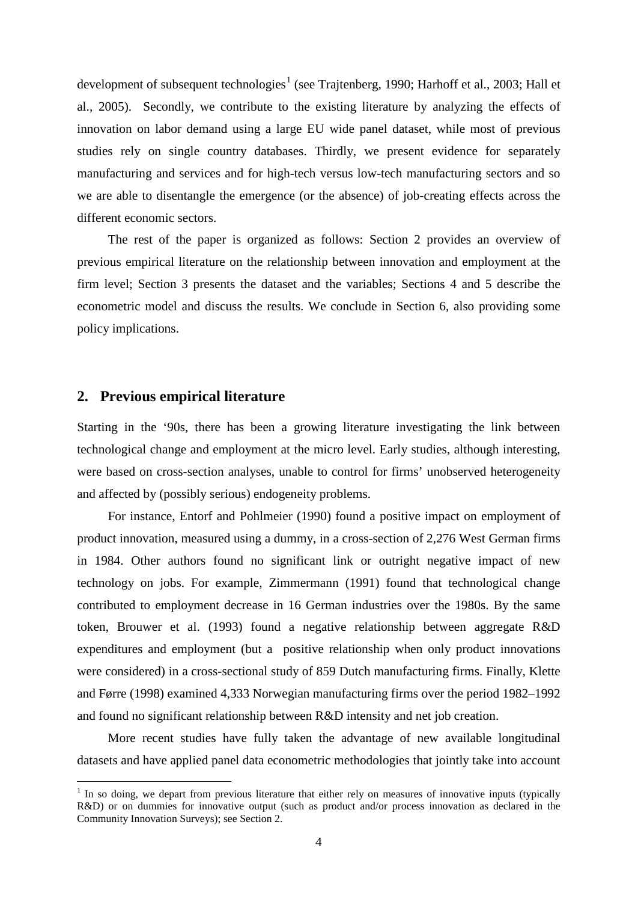development of subsequent technologies<sup>[1](#page-5-0)</sup> (see [Trajtenberg, 1990;](#page-22-13) [Harhoff et al., 2003;](#page-21-6) Hall et [al., 2005\)](#page-21-7). Secondly, we contribute to the existing literature by analyzing the effects of innovation on labor demand using a large EU wide panel dataset, while most of previous studies rely on single country databases. Thirdly, we present evidence for separately manufacturing and services and for high-tech versus low-tech manufacturing sectors and so we are able to disentangle the emergence (or the absence) of job-creating effects across the different economic sectors.

The rest of the paper is organized as follows: Section 2 provides an overview of previous empirical literature on the relationship between innovation and employment at the firm level; Section 3 presents the dataset and the variables; Sections 4 and 5 describe the econometric model and discuss the results. We conclude in Section 6, also providing some policy implications.

#### **2. Previous empirical literature**

Starting in the '90s, there has been a growing literature investigating the link between technological change and employment at the micro level. Early studies, although interesting, were based on cross-section analyses, unable to control for firms' unobserved heterogeneity and affected by (possibly serious) endogeneity problems.

For instance, [Entorf and Pohlmeier \(1990\)](#page-20-7) found a positive impact on employment of product innovation, measured using a dummy, in a cross-section of 2,276 West German firms in 1984. Other authors found no significant link or outright negative impact of new technology on jobs. For example, [Zimmermann \(1991\)](#page-23-1) found that technological change contributed to employment decrease in 16 German industries over the 1980s. By the same token, [Brouwer et al. \(1993\)](#page-20-8) found a negative relationship between aggregate R&D expenditures and employment (but a positive relationship when only product innovations were considered) in a cross-sectional study of 859 Dutch manufacturing firms. Finally, [Klette](#page-21-8)  [and Førre \(1998\)](#page-21-8) examined 4,333 Norwegian manufacturing firms over the period 1982–1992 and found no significant relationship between R&D intensity and net job creation.

More recent studies have fully taken the advantage of new available longitudinal datasets and have applied panel data econometric methodologies that jointly take into account

<span id="page-5-1"></span><span id="page-5-0"></span><sup>&</sup>lt;sup>1</sup> In so doing, we depart from previous literature that either rely on measures of innovative inputs (typically R&D) or on dummies for innovative output (such as product and/or process innovation as declared in the Community Innovation Surveys); see Section 2.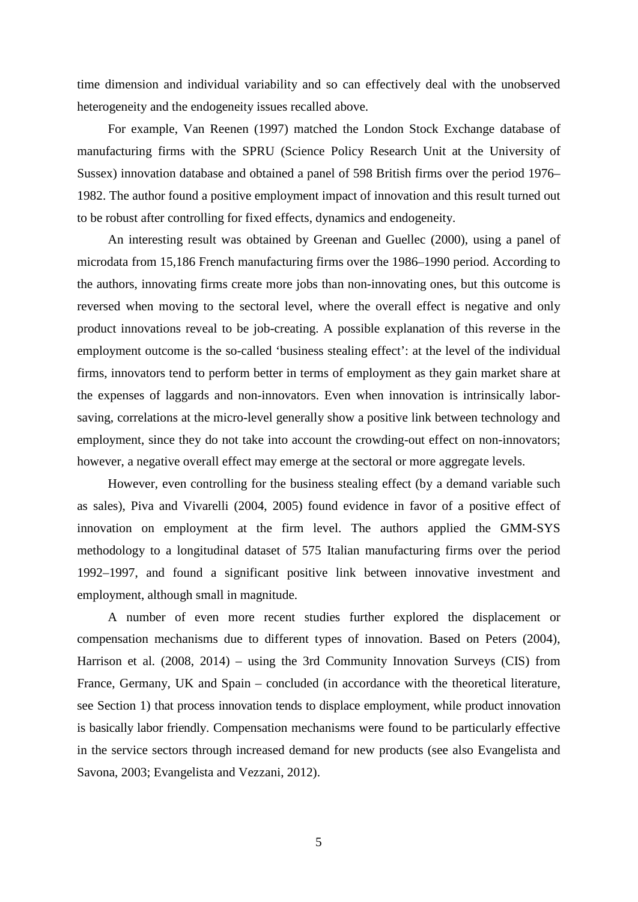time dimension and individual variability and so can effectively deal with the unobserved heterogeneity and the endogeneity issues recalled above.

For example, [Van Reenen \(1997\)](#page-22-14) matched the London Stock Exchange database of manufacturing firms with the SPRU (Science Policy Research Unit at the University of Sussex) innovation database and obtained a panel of 598 British firms over the period 1976– 1982. The author found a positive employment impact of innovation and this result turned out to be robust after controlling for fixed effects, dynamics and endogeneity.

An interesting result was obtained by [Greenan and Guellec \(2000\)](#page-21-9), using a panel of microdata from 15,186 French manufacturing firms over the 1986–1990 period. According to the authors, innovating firms create more jobs than non-innovating ones, but this outcome is reversed when moving to the sectoral level, where the overall effect is negative and only product innovations reveal to be job-creating. A possible explanation of this reverse in the employment outcome is the so-called 'business stealing effect': at the level of the individual firms, innovators tend to perform better in terms of employment as they gain market share at the expenses of laggards and non-innovators. Even when innovation is intrinsically laborsaving, correlations at the micro-level generally show a positive link between technology and employment, since they do not take into account the crowding-out effect on non-innovators; however, a negative overall effect may emerge at the sectoral or more aggregate levels.

However, even controlling for the business stealing effect (by a demand variable such as sales), [Piva and Vivarelli \(2004,](#page-22-15) [2005\)](#page-22-16) found evidence in favor of a positive effect of innovation on employment at the firm level. The authors applied the GMM-SYS methodology to a longitudinal dataset of 575 Italian manufacturing firms over the period 1992–1997, and found a significant positive link between innovative investment and employment, although small in magnitude.

A number of even more recent studies further explored the displacement or compensation mechanisms due to different types of innovation. Based on [Peters \(2004\)](#page-22-17), [Harrison et al. \(2008,](#page-21-10) [2014\)](#page-21-11) – using the 3rd Community Innovation Surveys (CIS) from France, Germany, UK and Spain – concluded (in accordance with the theoretical literature, see Section 1) that process innovation tends to displace employment, while product innovation is basically labor friendly. Compensation mechanisms were found to be particularly effective in the service sectors through increased demand for new products (see also [Evangelista and](#page-21-12)  [Savona, 2003;](#page-21-12) [Evangelista and Vezzani, 2012\)](#page-21-13).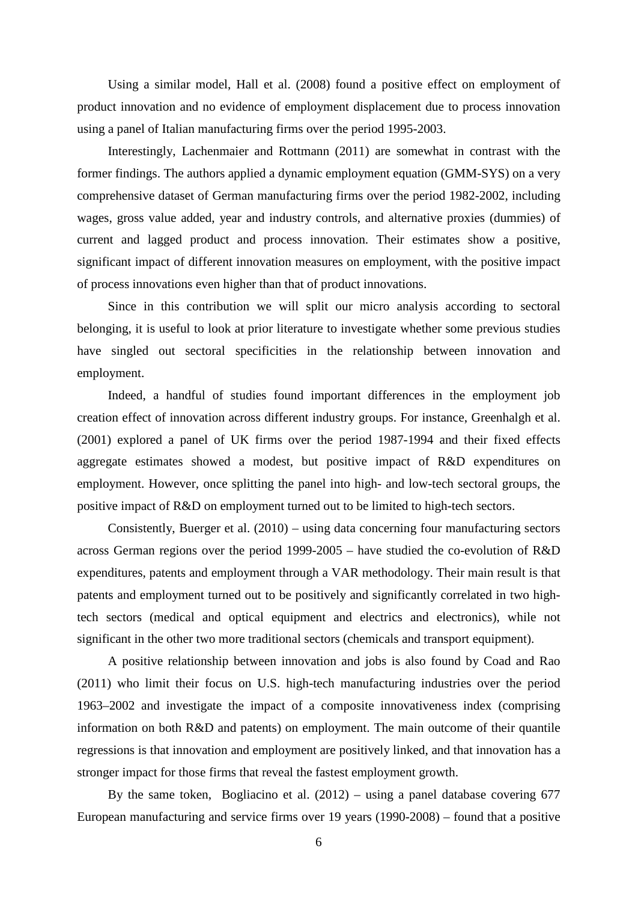Using a similar model, [Hall et al. \(2008\)](#page-21-14) found a positive effect on employment of product innovation and no evidence of employment displacement due to process innovation using a panel of Italian manufacturing firms over the period 1995-2003.

Interestingly, [Lachenmaier and Rottmann \(2011\)](#page-21-15) are somewhat in contrast with the former findings. The authors applied a dynamic employment equation (GMM-SYS) on a very comprehensive dataset of German manufacturing firms over the period 1982-2002, including wages, gross value added, year and industry controls, and alternative proxies (dummies) of current and lagged product and process innovation. Their estimates show a positive, significant impact of different innovation measures on employment, with the positive impact of process innovations even higher than that of product innovations.

Since in this contribution we will split our micro analysis according to sectoral belonging, it is useful to look at prior literature to investigate whether some previous studies have singled out sectoral specificities in the relationship between innovation and employment.

Indeed, a handful of studies found important differences in the employment job creation effect of innovation across different industry groups. For instance, [Greenhalgh et al.](#page-21-16)  [\(2001\)](#page-21-16) explored a panel of UK firms over the period 1987-1994 and their fixed effects aggregate estimates showed a modest, but positive impact of R&D expenditures on employment. However, once splitting the panel into high- and low-tech sectoral groups, the positive impact of R&D on employment turned out to be limited to high-tech sectors.

Consistently, [Buerger et al. \(2010\)](#page-20-9) – using data concerning four manufacturing sectors across German regions over the period 1999-2005 – have studied the co-evolution of R&D expenditures, patents and employment through a VAR methodology. Their main result is that patents and employment turned out to be positively and significantly correlated in two hightech sectors (medical and optical equipment and electrics and electronics), while not significant in the other two more traditional sectors (chemicals and transport equipment).

A positive relationship between innovation and jobs is also found by [Coad and Rao](#page-20-10)  [\(2011\)](#page-20-10) who limit their focus on U.S. high-tech manufacturing industries over the period 1963–2002 and investigate the impact of a composite innovativeness index (comprising information on both R&D and patents) on employment. The main outcome of their quantile regressions is that innovation and employment are positively linked, and that innovation has a stronger impact for those firms that reveal the fastest employment growth.

By the same token, [Bogliacino et al. \(2012\)](#page-20-11) – using a panel database covering 677 European manufacturing and service firms over 19 years (1990-2008) – found that a positive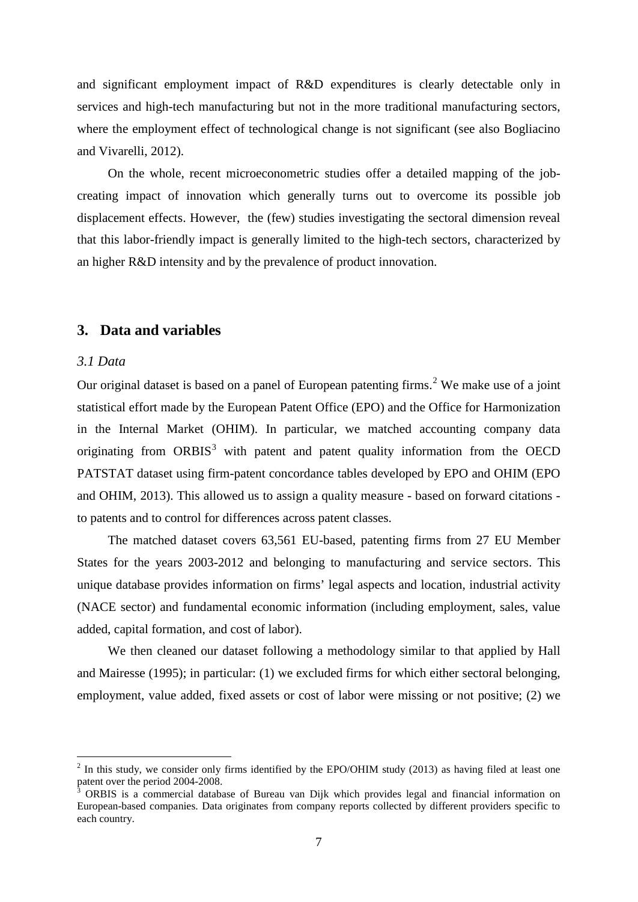and significant employment impact of R&D expenditures is clearly detectable only in services and high-tech manufacturing but not in the more traditional manufacturing sectors, where the employment effect of technological change is not significant (see also Bogliacino and Vivarelli, 2012).

On the whole, recent microeconometric studies offer a detailed mapping of the jobcreating impact of innovation which generally turns out to overcome its possible job displacement effects. However, the (few) studies investigating the sectoral dimension reveal that this labor-friendly impact is generally limited to the high-tech sectors, characterized by an higher R&D intensity and by the prevalence of product innovation.

#### **3. Data and variables**

#### *3.1 Data*

Our original dataset is based on a panel of European patenting firms.<sup>[2](#page-5-1)</sup> We make use of a joint statistical effort made by the European Patent Office (EPO) and the Office for Harmonization in the Internal Market (OHIM). In particular, we matched accounting company data originating from  $ORBIS<sup>3</sup>$  $ORBIS<sup>3</sup>$  $ORBIS<sup>3</sup>$  with patent and patent quality information from the OECD PATSTAT dataset using firm-patent concordance tables developed by EPO and OHIM [\(EPO](#page-21-17)  [and OHIM, 2013\)](#page-21-17). This allowed us to assign a quality measure - based on forward citations to patents and to control for differences across patent classes.

The matched dataset covers 63,561 EU-based, patenting firms from 27 EU Member States for the years 2003-2012 and belonging to manufacturing and service sectors. This unique database provides information on firms' legal aspects and location, industrial activity (NACE sector) and fundamental economic information (including employment, sales, value added, capital formation, and cost of labor).

We then cleaned our dataset following a methodology similar to that applied by [Hall](#page-21-18)  [and Mairesse \(1995\)](#page-21-18); in particular: (1) we excluded firms for which either sectoral belonging, employment, value added, fixed assets or cost of labor were missing or not positive; (2) we

<span id="page-8-1"></span> $2$  In this study, we consider only firms identified by the EPO/OHIM study (2013) as having filed at least one patent over the period 2004-2008.

<span id="page-8-0"></span>patent over the period 2004-2008. <sup>3</sup> ORBIS is a commercial database of Bureau van Dijk which provides legal and financial information on European-based companies. Data originates from company reports collected by different providers specific to each country.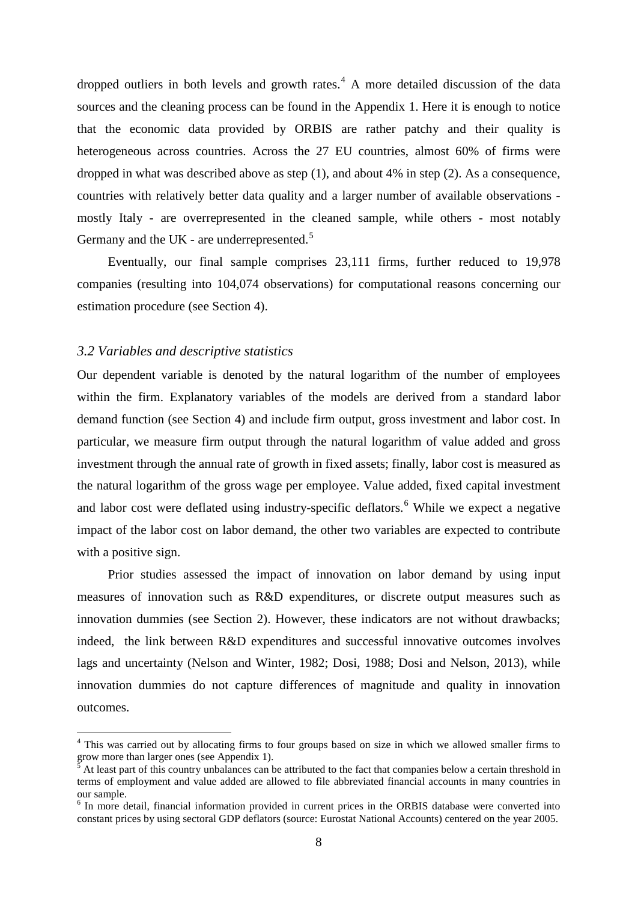dropped outliers in both levels and growth rates. [4](#page-8-1) A more detailed discussion of the data sources and the cleaning process can be found in the Appendix 1. Here it is enough to notice that the economic data provided by ORBIS are rather patchy and their quality is heterogeneous across countries. Across the 27 EU countries, almost 60% of firms were dropped in what was described above as step (1), and about 4% in step (2). As a consequence, countries with relatively better data quality and a larger number of available observations mostly Italy - are overrepresented in the cleaned sample, while others - most notably Germany and the UK - are underrepresented.<sup>[5](#page-9-0)</sup>

Eventually, our final sample comprises 23,111 firms, further reduced to 19,978 companies (resulting into 104,074 observations) for computational reasons concerning our estimation procedure (see Section 4).

#### *3.2 Variables and descriptive statistics*

Our dependent variable is denoted by the natural logarithm of the number of employees within the firm. Explanatory variables of the models are derived from a standard labor demand function (see Section 4) and include firm output, gross investment and labor cost. In particular, we measure firm output through the natural logarithm of value added and gross investment through the annual rate of growth in fixed assets; finally, labor cost is measured as the natural logarithm of the gross wage per employee. Value added, fixed capital investment and labor cost were deflated using industry-specific deflators.<sup>[6](#page-9-1)</sup> While we expect a negative impact of the labor cost on labor demand, the other two variables are expected to contribute with a positive sign.

Prior studies assessed the impact of innovation on labor demand by using input measures of innovation such as R&D expenditures, or discrete output measures such as innovation dummies (see Section 2). However, these indicators are not without drawbacks; indeed, the link between R&D expenditures and successful innovative outcomes involves lags and uncertainty [\(Nelson and Winter, 1982;](#page-22-18) [Dosi, 1988;](#page-20-12) [Dosi and Nelson, 2013\)](#page-20-13), while innovation dummies do not capture differences of magnitude and quality in innovation outcomes.

<span id="page-9-2"></span><sup>&</sup>lt;sup>4</sup> This was carried out by allocating firms to four groups based on size in which we allowed smaller firms to grow more than larger ones (see Appendix 1).

<span id="page-9-0"></span><sup>5</sup> At least part of this country unbalances can be attributed to the fact that companies below a certain threshold in terms of employment and value added are allowed to file abbreviated financial accounts in many countries in our sample.

<span id="page-9-1"></span><sup>&</sup>lt;sup>6</sup> In more detail, financial information provided in current prices in the ORBIS database were converted into constant prices by using sectoral GDP deflators (source: Eurostat National Accounts) centered on the year 2005.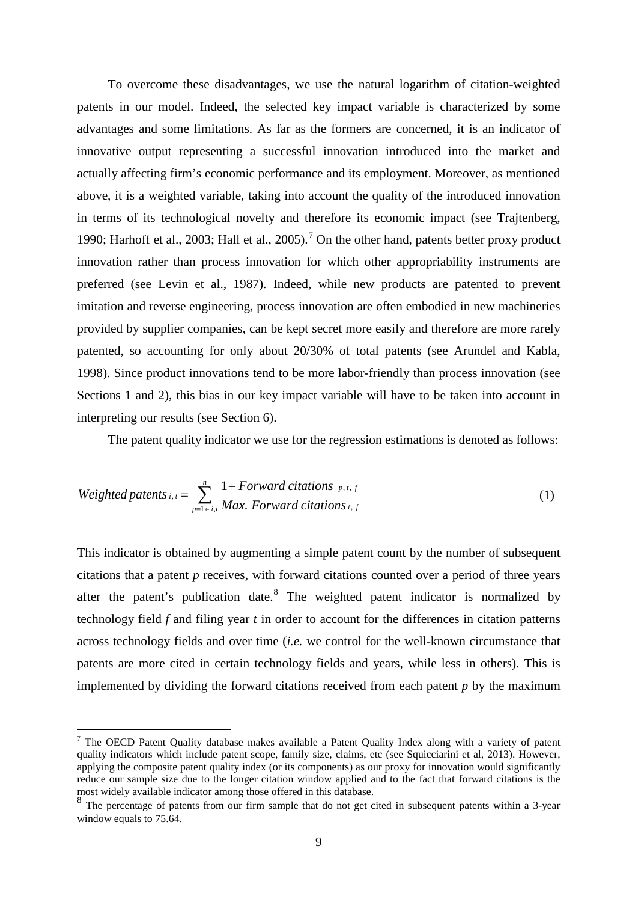To overcome these disadvantages, we use the natural logarithm of citation-weighted patents in our model. Indeed, the selected key impact variable is characterized by some advantages and some limitations. As far as the formers are concerned, it is an indicator of innovative output representing a successful innovation introduced into the market and actually affecting firm's economic performance and its employment. Moreover, as mentioned above, it is a weighted variable, taking into account the quality of the introduced innovation in terms of its technological novelty and therefore its economic impact (see [Trajtenberg,](#page-22-13)  [1990;](#page-22-13) [Harhoff et al., 2003;](#page-21-6) [Hall et al., 2005\)](#page-21-7). [7](#page-9-2) On the other hand, patents better proxy product innovation rather than process innovation for which other appropriability instruments are preferred [\(see Levin et al., 1987\)](#page-22-19). Indeed, while new products are patented to prevent imitation and reverse engineering, process innovation are often embodied in new machineries provided by supplier companies, can be kept secret more easily and therefore are more rarely patented, so accounting for only about 20/30% of total patents (see [Arundel and Kabla,](#page-20-14)  [1998\)](#page-20-14). Since product innovations tend to be more labor-friendly than process innovation (see Sections 1 and 2), this bias in our key impact variable will have to be taken into account in interpreting our results (see Section 6).

The patent quality indicator we use for the regression estimations is denoted as follows:

$$
Weighted\ patterns_{i,t} = \sum_{p=1 \text{ } \in i,t}^{n} \frac{1+Forward\ citations\ p,t,f}{Max.\ Forward\ citations\ t,f}
$$
 (1)

This indicator is obtained by augmenting a simple patent count by the number of subsequent citations that a patent *p* receives, with forward citations counted over a period of three years after the patent's publication date.<sup>[8](#page-10-0)</sup> The weighted patent indicator is normalized by technology field *f* and filing year *t* in order to account for the differences in citation patterns across technology fields and over time (*i.e.* we control for the well-known circumstance that patents are more cited in certain technology fields and years, while less in others). This is implemented by dividing the forward citations received from each patent *p* by the maximum

<span id="page-10-1"></span> <sup>7</sup> The OECD Patent Quality database makes available a Patent Quality Index along with a variety of patent quality indicators which include patent scope, family size, claims, etc (see Squicciarini et al, 2013). However, applying the composite patent quality index (or its components) as our proxy for innovation would significantly reduce our sample size due to the longer citation window applied and to the fact that forward citations is the most widely available indicator among those offered in this database.

<span id="page-10-0"></span><sup>&</sup>lt;sup>8</sup> The percentage of patents from our firm sample that do not get cited in subsequent patents within a 3-year window equals to 75.64.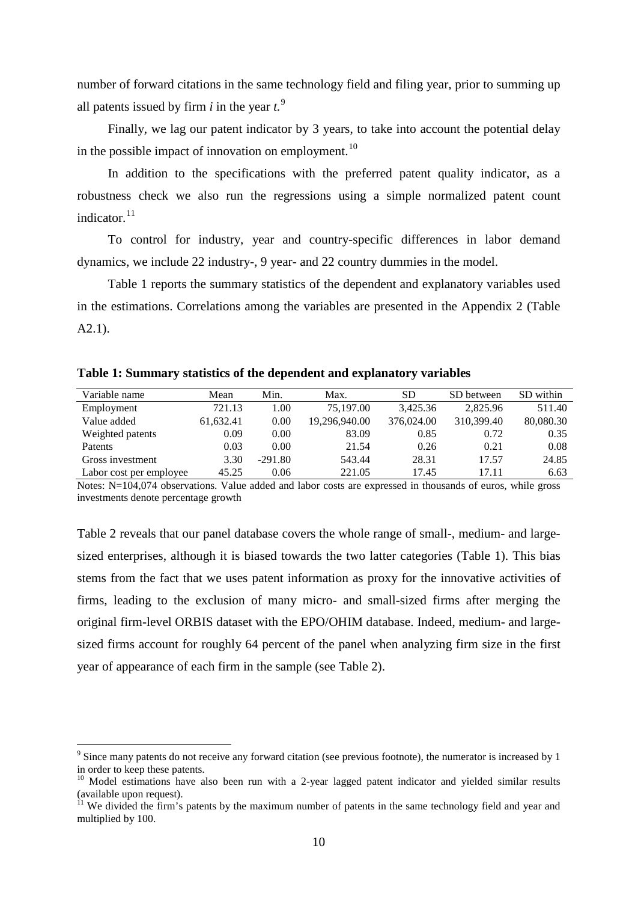number of forward citations in the same technology field and filing year, prior to summing up all patents issued by firm  $i$  in the year  $t$ .<sup>[9](#page-10-1)</sup>

Finally, we lag our patent indicator by 3 years, to take into account the potential delay in the possible impact of innovation on employment.<sup>[10](#page-11-1)</sup>

In addition to the specifications with the preferred patent quality indicator, as a robustness check we also run the regressions using a simple normalized patent count indicator. [11](#page-11-2)

To control for industry, year and country-specific differences in labor demand dynamics, we include 22 industry-, 9 year- and 22 country dummies in the model.

[Table 1](#page-11-0) reports the summary statistics of the dependent and explanatory variables used in the estimations. Correlations among the variables are presented in the Appendix 2 (Table A2.1).

| Variable name           | Mean      | Min.      | Max.          | <b>SD</b>  | SD between | SD within |
|-------------------------|-----------|-----------|---------------|------------|------------|-----------|
| Employment              | 721.13    | 1.00      | 75,197.00     | 3,425.36   | 2,825.96   | 511.40    |
| Value added             | 61,632.41 | 0.00      | 19,296,940.00 | 376,024.00 | 310,399.40 | 80,080.30 |
| Weighted patents        | 0.09      | 0.00      | 83.09         | 0.85       | 0.72       | 0.35      |
| <b>Patents</b>          | 0.03      | 0.00      | 21.54         | 0.26       | 0.21       | 0.08      |
| Gross investment        | 3.30      | $-291.80$ | 543.44        | 28.31      | 17.57      | 24.85     |
| Labor cost per employee | 45.25     | 0.06      | 221.05        | 17.45      | 17.11      | 6.63      |

<span id="page-11-0"></span>**Table 1: Summary statistics of the dependent and explanatory variables**

Notes: N=104,074 observations. Value added and labor costs are expressed in thousands of euros, while gross investments denote percentage growth

Table 2 reveals that our panel database covers the whole range of small-, medium- and largesized enterprises, although it is biased towards the two latter categories [\(Table 1\)](#page-11-0). This bias stems from the fact that we uses patent information as proxy for the innovative activities of firms, leading to the exclusion of many micro- and small-sized firms after merging the original firm-level ORBIS dataset with the EPO/OHIM database. Indeed, medium- and largesized firms account for roughly 64 percent of the panel when analyzing firm size in the first year of appearance of each firm in the sample (see [Table 2\)](#page-12-0).

<sup>&</sup>lt;sup>9</sup> Since many patents do not receive any forward citation (see previous footnote), the numerator is increased by 1 in order to keep these patents.

<span id="page-11-1"></span><sup>&</sup>lt;sup>10</sup> Model estimations have also been run with a 2-year lagged patent indicator and yielded similar results (available upon request).

<span id="page-11-2"></span> $11$  We divided the firm's patents by the maximum number of patents in the same technology field and year and multiplied by 100.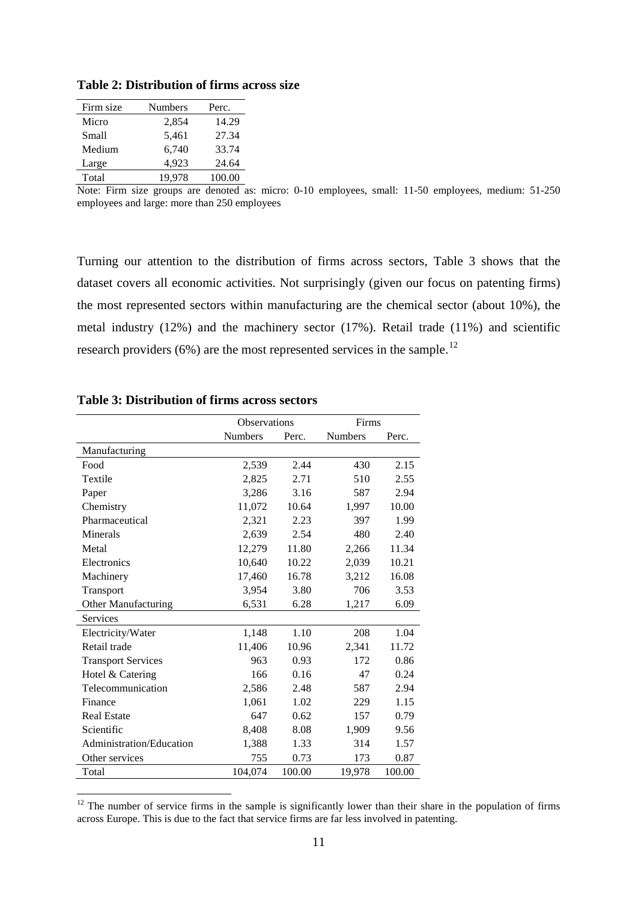| Firm size | <b>Numbers</b> | Perc.  |
|-----------|----------------|--------|
| Micro     | 2,854          | 14.29  |
| Small     | 5,461          | 27.34  |
| Medium    | 6,740          | 33.74  |
| Large     | 4,923          | 24.64  |
| Total     | 19.978         | 100.00 |

<span id="page-12-0"></span>**Table 2: Distribution of firms across size**

Note: Firm size groups are denoted as: micro: 0-10 employees, small: 11-50 employees, medium: 51-250 employees and large: more than 250 employees

Turning our attention to the distribution of firms across sectors, [Table 3](#page-12-1) shows that the dataset covers all economic activities. Not surprisingly (given our focus on patenting firms) the most represented sectors within manufacturing are the chemical sector (about 10%), the metal industry (12%) and the machinery sector (17%). Retail trade (11%) and scientific research providers  $(6%)$  are the most represented services in the sample.<sup>[12](#page-11-2)</sup>

|                           |         | <b>Observations</b> |         | Firms  |
|---------------------------|---------|---------------------|---------|--------|
|                           | Numbers | Perc.               | Numbers | Perc.  |
| Manufacturing             |         |                     |         |        |
| Food                      | 2,539   | 2.44                | 430     | 2.15   |
| Textile                   | 2,825   | 2.71                | 510     | 2.55   |
| Paper                     | 3,286   | 3.16                | 587     | 2.94   |
| Chemistry                 | 11,072  | 10.64               | 1,997   | 10.00  |
| Pharmaceutical            | 2,321   | 2.23                | 397     | 1.99   |
| Minerals                  | 2,639   | 2.54                | 480     | 2.40   |
| Metal                     | 12,279  | 11.80               | 2,266   | 11.34  |
| Electronics               | 10,640  | 10.22               | 2,039   | 10.21  |
| Machinery                 | 17,460  | 16.78               | 3,212   | 16.08  |
| Transport                 | 3,954   | 3.80                | 706     | 3.53   |
| Other Manufacturing       | 6,531   | 6.28                | 1,217   | 6.09   |
| Services                  |         |                     |         |        |
| Electricity/Water         | 1,148   | 1.10                | 208     | 1.04   |
| Retail trade              | 11,406  | 10.96               | 2,341   | 11.72  |
| <b>Transport Services</b> | 963     | 0.93                | 172     | 0.86   |
| Hotel & Catering          | 166     | 0.16                | 47      | 0.24   |
| Telecommunication         | 2,586   | 2.48                | 587     | 2.94   |
| Finance                   | 1,061   | 1.02                | 229     | 1.15   |
| <b>Real Estate</b>        | 647     | 0.62                | 157     | 0.79   |
| Scientific                | 8,408   | 8.08                | 1,909   | 9.56   |
| Administration/Education  | 1,388   | 1.33                | 314     | 1.57   |
| Other services            | 755     | 0.73                | 173     | 0.87   |
| Total                     | 104,074 | 100.00              | 19,978  | 100.00 |

#### <span id="page-12-1"></span>**Table 3: Distribution of firms across sectors**

<span id="page-12-2"></span> $12$  The number of service firms in the sample is significantly lower than their share in the population of firms across Europe. This is due to the fact that service firms are far less involved in patenting.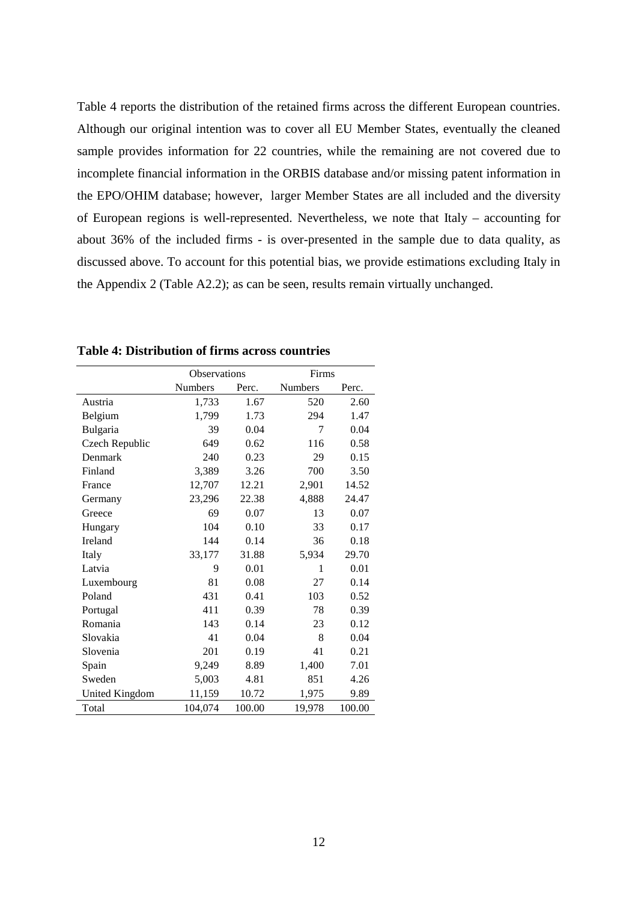[Table 4](#page-13-0) reports the distribution of the retained firms across the different European countries. Although our original intention was to cover all EU Member States, eventually the cleaned sample provides information for 22 countries, while the remaining are not covered due to incomplete financial information in the ORBIS database and/or missing patent information in the EPO/OHIM database; however, larger Member States are all included and the diversity of European regions is well-represented. Nevertheless, we note that Italy – accounting for about 36% of the included firms - is over-presented in the sample due to data quality, as discussed above. To account for this potential bias, we provide estimations excluding Italy in the Appendix 2 (Table A2.2); as can be seen, results remain virtually unchanged.

|                |         | <b>Observations</b> |                | Firms  |  |  |
|----------------|---------|---------------------|----------------|--------|--|--|
|                | Numbers | Perc.               | <b>Numbers</b> | Perc.  |  |  |
| Austria        | 1,733   | 1.67                | 520            | 2.60   |  |  |
| Belgium        | 1,799   | 1.73                | 294            | 1.47   |  |  |
| Bulgaria       | 39      | 0.04                | 7              | 0.04   |  |  |
| Czech Republic | 649     | 0.62                | 116            | 0.58   |  |  |
| Denmark        | 240     | 0.23                | 29             | 0.15   |  |  |
| Finland        | 3,389   | 3.26                | 700            | 3.50   |  |  |
| France         | 12,707  | 12.21               | 2,901          | 14.52  |  |  |
| Germany        | 23,296  | 22.38               | 4,888          | 24.47  |  |  |
| Greece         | 69      | 0.07                | 13             | 0.07   |  |  |
| Hungary        | 104     | 0.10                | 33             | 0.17   |  |  |
| Ireland        | 144     | 0.14                | 36             | 0.18   |  |  |
| Italy          | 33,177  | 31.88               | 5,934          | 29.70  |  |  |
| Latvia         | 9       | 0.01                | 1              | 0.01   |  |  |
| Luxembourg     | 81      | 0.08                | 27             | 0.14   |  |  |
| Poland         | 431     | 0.41                | 103            | 0.52   |  |  |
| Portugal       | 411     | 0.39                | 78             | 0.39   |  |  |
| Romania        | 143     | 0.14                | 23             | 0.12   |  |  |
| Slovakia       | 41      | 0.04                | 8              | 0.04   |  |  |
| Slovenia       | 201     | 0.19                | 41             | 0.21   |  |  |
| Spain          | 9,249   | 8.89                | 1,400          | 7.01   |  |  |
| Sweden         | 5,003   | 4.81                | 851            | 4.26   |  |  |
| United Kingdom | 11,159  | 10.72               | 1,975          | 9.89   |  |  |
| Total          | 104.074 | 100.00              | 19,978         | 100.00 |  |  |

<span id="page-13-0"></span>**Table 4: Distribution of firms across countries**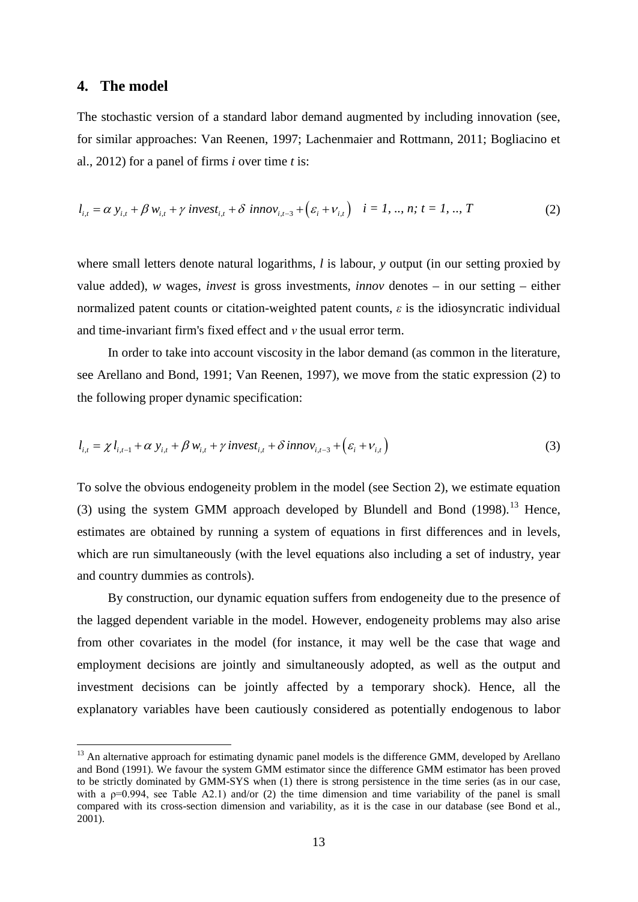#### **4. The model**

The stochastic version of a standard labor demand augmented by including innovation (see, for similar approaches: [Van Reenen, 1997;](#page-22-14) [Lachenmaier and Rottmann, 2011;](#page-21-15) [Bogliacino et](#page-20-11)  [al., 2012\)](#page-20-11) for a panel of firms *i* over time *t* is:

$$
l_{i,t} = \alpha y_{i,t} + \beta w_{i,t} + \gamma \text{ invest}_{i,t} + \delta \text{ innov}_{i,t-3} + (\varepsilon_i + v_{i,t}) \quad i = 1, ..., n; t = 1, ..., T
$$
 (2)

where small letters denote natural logarithms, *l* is labour, *y* output (in our setting proxied by value added), *w* wages, *invest* is gross investments, *innov* denotes – in our setting – either normalized patent counts or citation-weighted patent counts, *ε* is the idiosyncratic individual and time-invariant firm's fixed effect and *ν* the usual error term.

In order to take into account viscosity in the labor demand (as common in the literature, see [Arellano and Bond, 1991;](#page-20-15) [Van Reenen, 1997\)](#page-22-14), we move from the static expression (2) to the following proper dynamic specification:

$$
l_{i,t} = \chi l_{i,t-1} + \alpha y_{i,t} + \beta w_{i,t} + \gamma \text{invest}_{i,t} + \delta \text{innov}_{i,t-3} + (\varepsilon_i + \nu_{i,t})
$$
\n(3)

To solve the obvious endogeneity problem in the model (see Section 2), we estimate equation (3) using the system GMM approach developed by Blundell and Bond  $(1998)$ .<sup>[13](#page-12-2)</sup> Hence, estimates are obtained by running a system of equations in first differences and in levels, which are run simultaneously (with the level equations also including a set of industry, year and country dummies as controls).

By construction, our dynamic equation suffers from endogeneity due to the presence of the lagged dependent variable in the model. However, endogeneity problems may also arise from other covariates in the model (for instance, it may well be the case that wage and employment decisions are jointly and simultaneously adopted, as well as the output and investment decisions can be jointly affected by a temporary shock). Hence, all the explanatory variables have been cautiously considered as potentially endogenous to labor

<span id="page-14-0"></span><sup>&</sup>lt;sup>13</sup> An alternative approach for estimating dynamic panel models is the difference GMM, developed by Arellano and Bond (1991). We favour the system GMM estimator since the difference GMM estimator has been proved to be strictly dominated by GMM-SYS when (1) there is strong persistence in the time series (as in our case, with a  $p=0.994$ , see Table A2.1) and/or (2) the time dimension and time variability of the panel is small compared with its cross-section dimension and variability, as it is the case in our database (see Bond et al., 2001).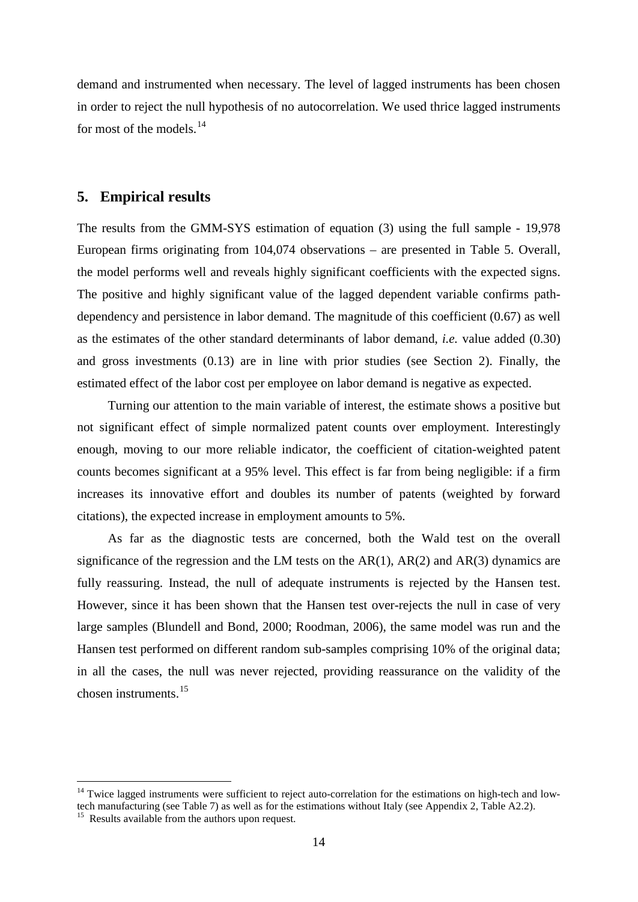demand and instrumented when necessary. The level of lagged instruments has been chosen in order to reject the null hypothesis of no autocorrelation. We used thrice lagged instruments for most of the models. $^{14}$  $^{14}$  $^{14}$ 

#### **5. Empirical results**

The results from the GMM-SYS estimation of equation (3) using the full sample - 19,978 European firms originating from 104,074 observations – are presented in [Table 5.](#page-16-0) Overall, the model performs well and reveals highly significant coefficients with the expected signs. The positive and highly significant value of the lagged dependent variable confirms pathdependency and persistence in labor demand. The magnitude of this coefficient (0.67) as well as the estimates of the other standard determinants of labor demand, *i.e.* value added (0.30) and gross investments (0.13) are in line with prior studies (see Section 2). Finally, the estimated effect of the labor cost per employee on labor demand is negative as expected.

Turning our attention to the main variable of interest, the estimate shows a positive but not significant effect of simple normalized patent counts over employment. Interestingly enough, moving to our more reliable indicator, the coefficient of citation-weighted patent counts becomes significant at a 95% level. This effect is far from being negligible: if a firm increases its innovative effort and doubles its number of patents (weighted by forward citations), the expected increase in employment amounts to 5%.

As far as the diagnostic tests are concerned, both the Wald test on the overall significance of the regression and the LM tests on the  $AR(1)$ ,  $AR(2)$  and  $AR(3)$  dynamics are fully reassuring. Instead, the null of adequate instruments is rejected by the Hansen test. However, since it has been shown that the Hansen test over-rejects the null in case of very large samples [\(Blundell and Bond, 2000;](#page-20-17) [Roodman, 2006\)](#page-22-20), the same model was run and the Hansen test performed on different random sub-samples comprising 10% of the original data; in all the cases, the null was never rejected, providing reassurance on the validity of the chosen instruments. [15](#page-15-0)

<span id="page-15-1"></span><sup>&</sup>lt;sup>14</sup> Twice lagged instruments were sufficient to reject auto-correlation for the estimations on high-tech and lowtech manufacturing (see Table 7) as well as for the estimations without Italy (see Appendix 2, Table A2.2). 15 Results available from the authors upon request.

<span id="page-15-0"></span>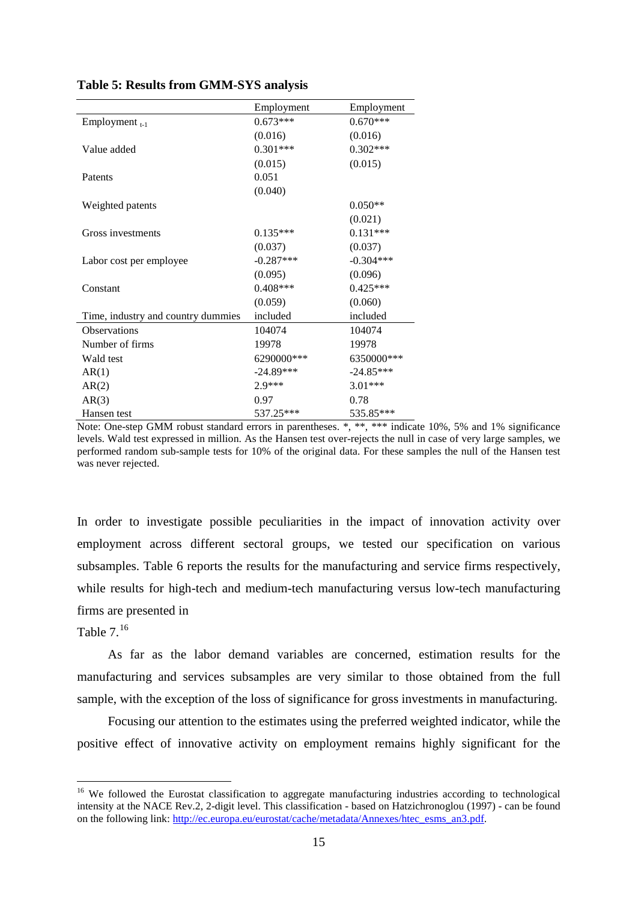|                                    | Employment  | Employment  |
|------------------------------------|-------------|-------------|
| Employment $_{t-1}$                | $0.673***$  | $0.670***$  |
|                                    | (0.016)     | (0.016)     |
| Value added                        | $0.301***$  | $0.302***$  |
|                                    | (0.015)     | (0.015)     |
| Patents                            | 0.051       |             |
|                                    | (0.040)     |             |
| Weighted patents                   |             | $0.050**$   |
|                                    |             | (0.021)     |
| Gross investments                  | $0.135***$  | $0.131***$  |
|                                    | (0.037)     | (0.037)     |
| Labor cost per employee            | $-0.287***$ | $-0.304***$ |
|                                    | (0.095)     | (0.096)     |
| Constant                           | $0.408***$  | $0.425***$  |
|                                    | (0.059)     | (0.060)     |
| Time, industry and country dummies | included    | included    |
| <b>Observations</b>                | 104074      | 104074      |
| Number of firms                    | 19978       | 19978       |
| Wald test                          | 6290000***  | 6350000***  |
| AR(1)                              | $-24.89***$ | $-24.85***$ |
| AR(2)                              | $2.9***$    | $3.01***$   |
| AR(3)                              | 0.97        | 0.78        |
| Hansen test                        | 537.25***   | 535.85***   |

<span id="page-16-0"></span>**Table 5: Results from GMM-SYS analysis**

Note: One-step GMM robust standard errors in parentheses. \*, \*\*, \*\*\* indicate 10%, 5% and 1% significance levels. Wald test expressed in million. As the Hansen test over-rejects the null in case of very large samples, we performed random sub-sample tests for 10% of the original data. For these samples the null of the Hansen test was never rejected.

In order to investigate possible peculiarities in the impact of innovation activity over employment across different sectoral groups, we tested our specification on various subsamples. [Table 6](#page-17-0) reports the results for the manufacturing and service firms respectively, while results for high-tech and medium-tech manufacturing versus low-tech manufacturing firms are presented in

#### <span id="page-16-2"></span>Table  $7.^{16}$  $7.^{16}$  $7.^{16}$

As far as the labor demand variables are concerned, estimation results for the manufacturing and services subsamples are very similar to those obtained from the full sample, with the exception of the loss of significance for gross investments in manufacturing.

Focusing our attention to the estimates using the preferred weighted indicator, while the positive effect of innovative activity on employment remains highly significant for the

<span id="page-16-1"></span><sup>&</sup>lt;sup>16</sup> We followed the Eurostat classification to aggregate manufacturing industries according to technological intensity at the NACE Rev.2, 2-digit level. This classification - based on Hatzichronoglou (1997) - can be found on the following link: [http://ec.europa.eu/eurostat/cache/metadata/Annexes/htec\\_esms\\_an3.pdf.](http://ec.europa.eu/eurostat/cache/metadata/Annexes/htec_esms_an3.pdf)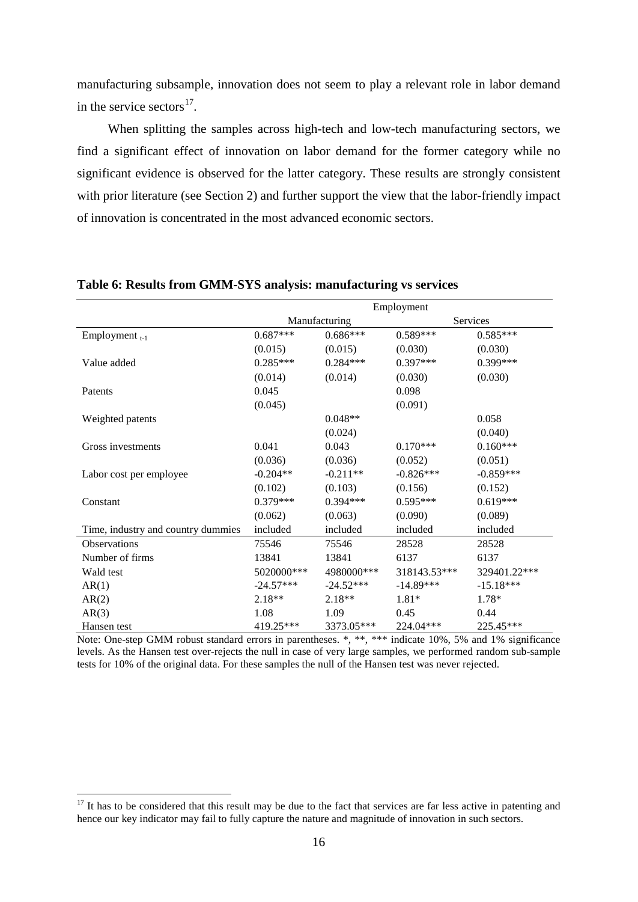manufacturing subsample, innovation does not seem to play a relevant role in labor demand in the service sectors $^{17}$ .

When splitting the samples across high-tech and low-tech manufacturing sectors, we find a significant effect of innovation on labor demand for the former category while no significant evidence is observed for the latter category. These results are strongly consistent with prior literature (see Section 2) and further support the view that the labor-friendly impact of innovation is concentrated in the most advanced economic sectors.

|                                    | Employment  |               |              |              |  |
|------------------------------------|-------------|---------------|--------------|--------------|--|
|                                    |             | Manufacturing |              | Services     |  |
| Employment $_{t-1}$                | $0.687***$  | $0.686***$    | $0.589***$   | $0.585***$   |  |
|                                    | (0.015)     | (0.015)       | (0.030)      | (0.030)      |  |
| Value added                        | $0.285***$  | $0.284***$    | $0.397***$   | 0.399***     |  |
|                                    | (0.014)     | (0.014)       | (0.030)      | (0.030)      |  |
| Patents                            | 0.045       |               | 0.098        |              |  |
|                                    | (0.045)     |               | (0.091)      |              |  |
| Weighted patents                   |             | $0.048**$     |              | 0.058        |  |
|                                    |             | (0.024)       |              | (0.040)      |  |
| Gross investments                  | 0.041       | 0.043         | $0.170***$   | $0.160***$   |  |
|                                    | (0.036)     | (0.036)       | (0.052)      | (0.051)      |  |
| Labor cost per employee            | $-0.204**$  | $-0.211**$    | $-0.826***$  | $-0.859***$  |  |
|                                    | (0.102)     | (0.103)       | (0.156)      | (0.152)      |  |
| Constant                           | $0.379***$  | $0.394***$    | $0.595***$   | $0.619***$   |  |
|                                    | (0.062)     | (0.063)       | (0.090)      | (0.089)      |  |
| Time, industry and country dummies | included    | included      | included     | included     |  |
| <b>Observations</b>                | 75546       | 75546         | 28528        | 28528        |  |
| Number of firms                    | 13841       | 13841         | 6137         | 6137         |  |
| Wald test                          | 5020000***  | 4980000***    | 318143.53*** | 329401.22*** |  |
| AR(1)                              | $-24.57***$ | $-24.52***$   | $-14.89***$  | $-15.18***$  |  |
| AR(2)                              | $2.18**$    | $2.18**$      | $1.81*$      | 1.78*        |  |
| AR(3)                              | 1.08        | 1.09          | 0.45         | 0.44         |  |
| Hansen test                        | 419.25***   | 3373.05***    | 224.04***    | 225.45***    |  |

#### <span id="page-17-0"></span>**Table 6: Results from GMM-SYS analysis: manufacturing vs services**

<span id="page-17-1"></span>Note: One-step GMM robust standard errors in parentheses. \*, \*\*, \*\*\* indicate 10%, 5% and 1% significance levels. As the Hansen test over-rejects the null in case of very large samples, we performed random sub-sample tests for 10% of the original data. For these samples the null of the Hansen test was never rejected.

 $17$  It has to be considered that this result may be due to the fact that services are far less active in patenting and hence our key indicator may fail to fully capture the nature and magnitude of innovation in such sectors.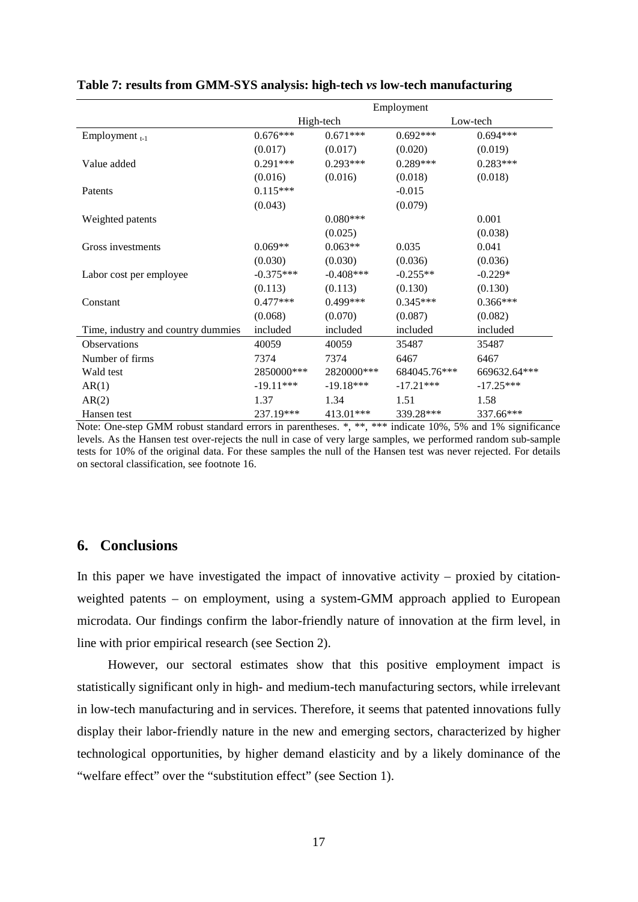|                                    | Employment  |             |              |              |  |
|------------------------------------|-------------|-------------|--------------|--------------|--|
|                                    |             | High-tech   |              | Low-tech     |  |
| Employment $_{t-1}$                | $0.676***$  | $0.671***$  | $0.692***$   | $0.694***$   |  |
|                                    | (0.017)     | (0.017)     | (0.020)      | (0.019)      |  |
| Value added                        | $0.291***$  | $0.293***$  | $0.289***$   | $0.283***$   |  |
|                                    | (0.016)     | (0.016)     | (0.018)      | (0.018)      |  |
| Patents                            | $0.115***$  |             | $-0.015$     |              |  |
|                                    | (0.043)     |             | (0.079)      |              |  |
| Weighted patents                   |             | $0.080***$  |              | 0.001        |  |
|                                    |             | (0.025)     |              | (0.038)      |  |
| Gross investments                  | $0.069**$   | $0.063**$   | 0.035        | 0.041        |  |
|                                    | (0.030)     | (0.030)     | (0.036)      | (0.036)      |  |
| Labor cost per employee            | $-0.375***$ | $-0.408***$ | $-0.255**$   | $-0.229*$    |  |
|                                    | (0.113)     | (0.113)     | (0.130)      | (0.130)      |  |
| Constant                           | $0.477***$  | $0.499***$  | $0.345***$   | $0.366***$   |  |
|                                    | (0.068)     | (0.070)     | (0.087)      | (0.082)      |  |
| Time, industry and country dummies | included    | included    | included     | included     |  |
| Observations                       | 40059       | 40059       | 35487        | 35487        |  |
| Number of firms                    | 7374        | 7374        | 6467         | 6467         |  |
| Wald test                          | 2850000***  | 2820000***  | 684045.76*** | 669632.64*** |  |
| AR(1)                              | $-19.11***$ | $-19.18***$ | $-17.21***$  | $-17.25***$  |  |
| AR(2)                              | 1.37        | 1.34        | 1.51         | 1.58         |  |
| Hansen test                        | 237.19***   | 413.01***   | 339.28***    | 337.66***    |  |

#### **Table 7: results from GMM-SYS analysis: high-tech** *vs* **low-tech manufacturing**

Note: One-step GMM robust standard errors in parentheses. \*, \*\*, \*\*\* indicate 10%, 5% and 1% significance levels. As the Hansen test over-rejects the null in case of very large samples, we performed random sub-sample tests for 10% of the original data. For these samples the null of the Hansen test was never rejected. For details on sectoral classification, see footnote [16.](#page-16-2)

#### **6. Conclusions**

In this paper we have investigated the impact of innovative activity – proxied by citationweighted patents – on employment, using a system-GMM approach applied to European microdata. Our findings confirm the labor-friendly nature of innovation at the firm level, in line with prior empirical research (see Section 2).

However, our sectoral estimates show that this positive employment impact is statistically significant only in high- and medium-tech manufacturing sectors, while irrelevant in low-tech manufacturing and in services. Therefore, it seems that patented innovations fully display their labor-friendly nature in the new and emerging sectors, characterized by higher technological opportunities, by higher demand elasticity and by a likely dominance of the "welfare effect" over the "substitution effect" (see Section 1).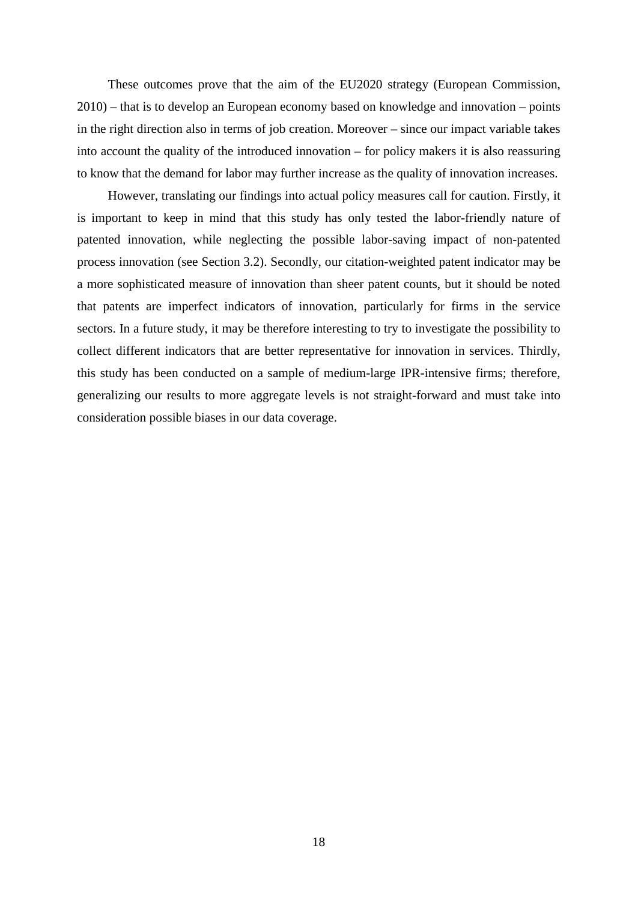These outcomes prove that the aim of the EU2020 strategy [\(European Commission,](#page-21-0)  [2010\)](#page-21-0) – that is to develop an European economy based on knowledge and innovation – points in the right direction also in terms of job creation. Moreover – since our impact variable takes into account the quality of the introduced innovation – for policy makers it is also reassuring to know that the demand for labor may further increase as the quality of innovation increases.

However, translating our findings into actual policy measures call for caution. Firstly, it is important to keep in mind that this study has only tested the labor-friendly nature of patented innovation, while neglecting the possible labor-saving impact of non-patented process innovation (see Section 3.2). Secondly, our citation-weighted patent indicator may be a more sophisticated measure of innovation than sheer patent counts, but it should be noted that patents are imperfect indicators of innovation, particularly for firms in the service sectors. In a future study, it may be therefore interesting to try to investigate the possibility to collect different indicators that are better representative for innovation in services. Thirdly, this study has been conducted on a sample of medium-large IPR-intensive firms; therefore, generalizing our results to more aggregate levels is not straight-forward and must take into consideration possible biases in our data coverage.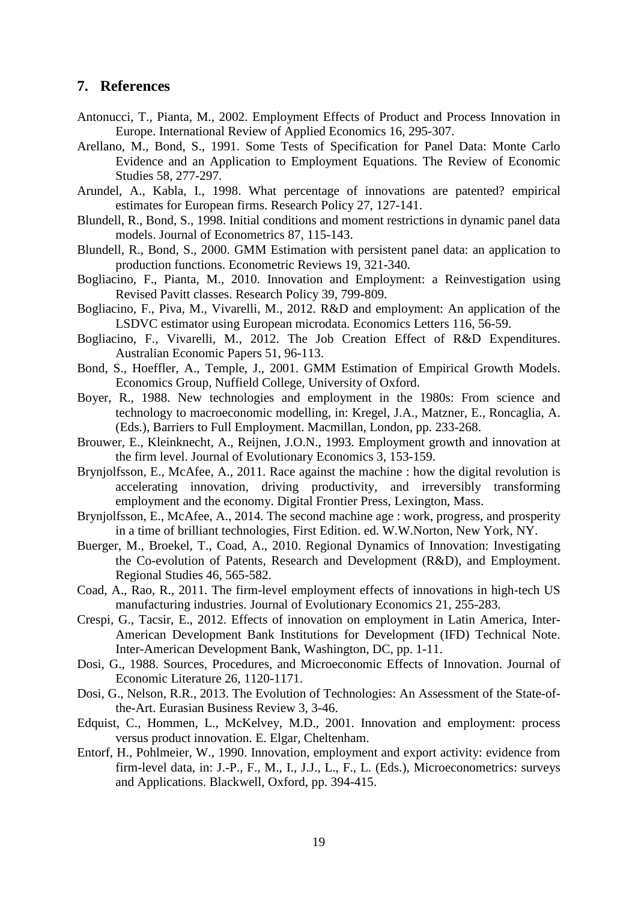#### **7. References**

- <span id="page-20-5"></span>Antonucci, T., Pianta, M., 2002. Employment Effects of Product and Process Innovation in Europe. International Review of Applied Economics 16, 295-307.
- <span id="page-20-15"></span>Arellano, M., Bond, S., 1991. Some Tests of Specification for Panel Data: Monte Carlo Evidence and an Application to Employment Equations. The Review of Economic Studies 58, 277-297.
- <span id="page-20-14"></span>Arundel, A., Kabla, I., 1998. What percentage of innovations are patented? empirical estimates for European firms. Research Policy 27, 127-141.
- <span id="page-20-16"></span>Blundell, R., Bond, S., 1998. Initial conditions and moment restrictions in dynamic panel data models. Journal of Econometrics 87, 115-143.
- <span id="page-20-17"></span>Blundell, R., Bond, S., 2000. GMM Estimation with persistent panel data: an application to production functions. Econometric Reviews 19, 321-340.
- <span id="page-20-6"></span>Bogliacino, F., Pianta, M., 2010. Innovation and Employment: a Reinvestigation using Revised Pavitt classes. Research Policy 39, 799-809.
- <span id="page-20-11"></span>Bogliacino, F., Piva, M., Vivarelli, M., 2012. R&D and employment: An application of the LSDVC estimator using European microdata. Economics Letters 116, 56-59.
- Bogliacino, F., Vivarelli, M., 2012. The Job Creation Effect of R&D Expenditures. Australian Economic Papers 51, 96-113.
- Bond, S., Hoeffler, A., Temple, J., 2001. GMM Estimation of Empirical Growth Models. Economics Group, Nuffield College, University of Oxford.
- <span id="page-20-3"></span>Boyer, R., 1988. New technologies and employment in the 1980s: From science and technology to macroeconomic modelling, in: Kregel, J.A., Matzner, E., Roncaglia, A. (Eds.), Barriers to Full Employment. Macmillan, London, pp. 233-268.
- <span id="page-20-8"></span>Brouwer, E., Kleinknecht, A., Reijnen, J.O.N., 1993. Employment growth and innovation at the firm level. Journal of Evolutionary Economics 3, 153-159.
- <span id="page-20-0"></span>Brynjolfsson, E., McAfee, A., 2011. Race against the machine : how the digital revolution is accelerating innovation, driving productivity, and irreversibly transforming employment and the economy. Digital Frontier Press, Lexington, Mass.
- <span id="page-20-1"></span>Brynjolfsson, E., McAfee, A., 2014. The second machine age : work, progress, and prosperity in a time of brilliant technologies, First Edition. ed. W.W.Norton, New York, NY.
- <span id="page-20-9"></span>Buerger, M., Broekel, T., Coad, A., 2010. Regional Dynamics of Innovation: Investigating the Co-evolution of Patents, Research and Development (R&D), and Employment. Regional Studies 46, 565-582.
- <span id="page-20-10"></span>Coad, A., Rao, R., 2011. The firm-level employment effects of innovations in high-tech US manufacturing industries. Journal of Evolutionary Economics 21, 255-283.
- <span id="page-20-2"></span>Crespi, G., Tacsir, E., 2012. Effects of innovation on employment in Latin America, Inter-American Development Bank Institutions for Development (IFD) Technical Note. Inter-American Development Bank, Washington, DC, pp. 1-11.
- <span id="page-20-12"></span>Dosi, G., 1988. Sources, Procedures, and Microeconomic Effects of Innovation. Journal of Economic Literature 26, 1120-1171.
- <span id="page-20-13"></span>Dosi, G., Nelson, R.R., 2013. The Evolution of Technologies: An Assessment of the State-ofthe-Art. Eurasian Business Review 3, 3-46.
- <span id="page-20-4"></span>Edquist, C., Hommen, L., McKelvey, M.D., 2001. Innovation and employment: process versus product innovation. E. Elgar, Cheltenham.
- <span id="page-20-7"></span>Entorf, H., Pohlmeier, W., 1990. Innovation, employment and export activity: evidence from firm-level data, in: J.-P., F., M., I., J.J., L., F., L. (Eds.), Microeconometrics: surveys and Applications. Blackwell, Oxford, pp. 394-415.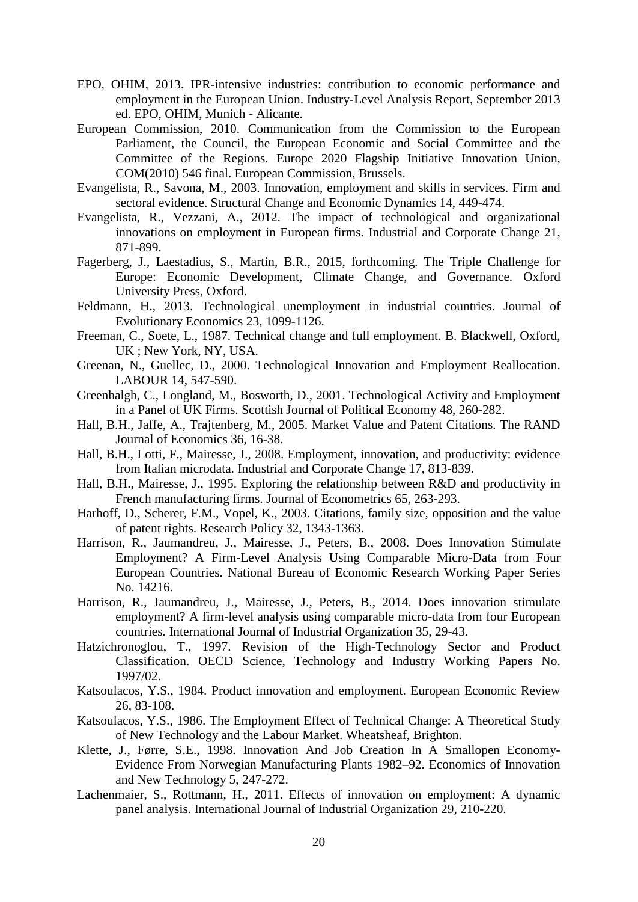- <span id="page-21-17"></span>EPO, OHIM, 2013. IPR-intensive industries: contribution to economic performance and employment in the European Union. Industry-Level Analysis Report, September 2013 ed. EPO, OHIM, Munich - Alicante.
- <span id="page-21-0"></span>European Commission, 2010. Communication from the Commission to the European Parliament, the Council, the European Economic and Social Committee and the Committee of the Regions. Europe 2020 Flagship Initiative Innovation Union, COM(2010) 546 final. European Commission, Brussels.
- <span id="page-21-12"></span>Evangelista, R., Savona, M., 2003. Innovation, employment and skills in services. Firm and sectoral evidence. Structural Change and Economic Dynamics 14, 449-474.
- <span id="page-21-13"></span>Evangelista, R., Vezzani, A., 2012. The impact of technological and organizational innovations on employment in European firms. Industrial and Corporate Change 21, 871-899.
- <span id="page-21-1"></span>Fagerberg, J., Laestadius, S., Martin, B.R., 2015, forthcoming. The Triple Challenge for Europe: Economic Development, Climate Change, and Governance. Oxford University Press, Oxford.
- <span id="page-21-5"></span>Feldmann, H., 2013. Technological unemployment in industrial countries. Journal of Evolutionary Economics 23, 1099-1126.
- <span id="page-21-2"></span>Freeman, C., Soete, L., 1987. Technical change and full employment. B. Blackwell, Oxford, UK ; New York, NY, USA.
- <span id="page-21-9"></span>Greenan, N., Guellec, D., 2000. Technological Innovation and Employment Reallocation. LABOUR 14, 547-590.
- <span id="page-21-16"></span>Greenhalgh, C., Longland, M., Bosworth, D., 2001. Technological Activity and Employment in a Panel of UK Firms. Scottish Journal of Political Economy 48, 260-282.
- <span id="page-21-7"></span>Hall, B.H., Jaffe, A., Trajtenberg, M., 2005. Market Value and Patent Citations. The RAND Journal of Economics 36, 16-38.
- <span id="page-21-14"></span>Hall, B.H., Lotti, F., Mairesse, J., 2008. Employment, innovation, and productivity: evidence from Italian microdata. Industrial and Corporate Change 17, 813-839.
- <span id="page-21-18"></span>Hall, B.H., Mairesse, J., 1995. Exploring the relationship between R&D and productivity in French manufacturing firms. Journal of Econometrics 65, 263-293.
- <span id="page-21-6"></span>Harhoff, D., Scherer, F.M., Vopel, K., 2003. Citations, family size, opposition and the value of patent rights. Research Policy 32, 1343-1363.
- <span id="page-21-10"></span>Harrison, R., Jaumandreu, J., Mairesse, J., Peters, B., 2008. Does Innovation Stimulate Employment? A Firm-Level Analysis Using Comparable Micro-Data from Four European Countries. National Bureau of Economic Research Working Paper Series No. 14216.
- <span id="page-21-11"></span>Harrison, R., Jaumandreu, J., Mairesse, J., Peters, B., 2014. Does innovation stimulate employment? A firm-level analysis using comparable micro-data from four European countries. International Journal of Industrial Organization 35, 29-43.
- Hatzichronoglou, T., 1997. Revision of the High-Technology Sector and Product Classification. OECD Science, Technology and Industry Working Papers No. 1997/02.
- <span id="page-21-3"></span>Katsoulacos, Y.S., 1984. Product innovation and employment. European Economic Review 26, 83-108.
- <span id="page-21-4"></span>Katsoulacos, Y.S., 1986. The Employment Effect of Technical Change: A Theoretical Study of New Technology and the Labour Market. Wheatsheaf, Brighton.
- <span id="page-21-8"></span>Klette, J., Førre, S.E., 1998. Innovation And Job Creation In A Smallopen Economy-Evidence From Norwegian Manufacturing Plants 1982–92. Economics of Innovation and New Technology 5, 247-272.
- <span id="page-21-15"></span>Lachenmaier, S., Rottmann, H., 2011. Effects of innovation on employment: A dynamic panel analysis. International Journal of Industrial Organization 29, 210-220.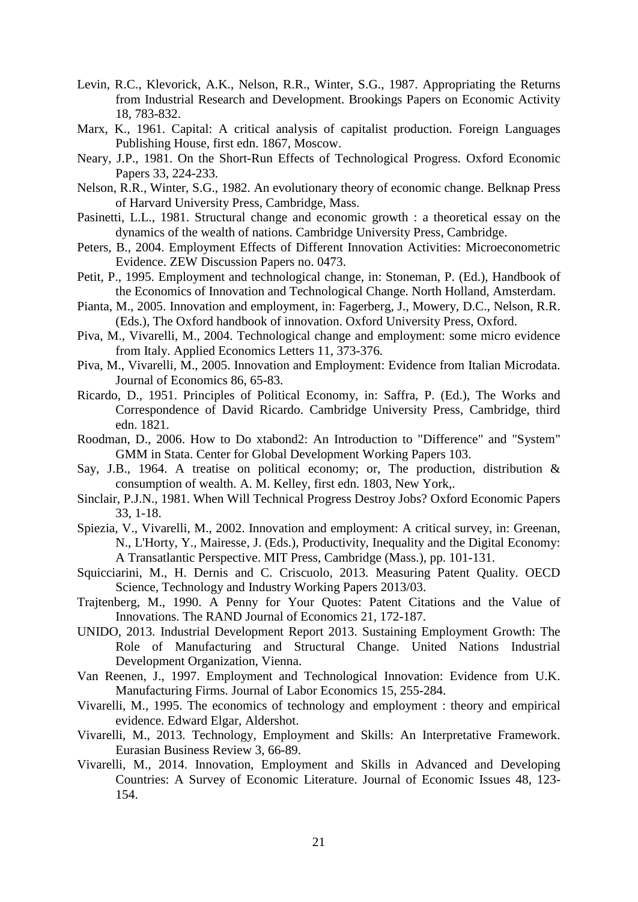- <span id="page-22-19"></span>Levin, R.C., Klevorick, A.K., Nelson, R.R., Winter, S.G., 1987. Appropriating the Returns from Industrial Research and Development. Brookings Papers on Economic Activity 18, 783-832.
- <span id="page-22-8"></span>Marx, K., 1961. Capital: A critical analysis of capitalist production. Foreign Languages Publishing House, first edn. 1867, Moscow.
- <span id="page-22-9"></span>Neary, J.P., 1981. On the Short-Run Effects of Technological Progress. Oxford Economic Papers 33, 224-233.
- <span id="page-22-18"></span>Nelson, R.R., Winter, S.G., 1982. An evolutionary theory of economic change. Belknap Press of Harvard University Press, Cambridge, Mass.
- <span id="page-22-11"></span>Pasinetti, L.L., 1981. Structural change and economic growth : a theoretical essay on the dynamics of the wealth of nations. Cambridge University Press, Cambridge.
- <span id="page-22-17"></span>Peters, B., 2004. Employment Effects of Different Innovation Activities: Microeconometric Evidence. ZEW Discussion Papers no. 0473.
- <span id="page-22-1"></span>Petit, P., 1995. Employment and technological change, in: Stoneman, P. (Ed.), Handbook of the Economics of Innovation and Technological Change. North Holland, Amsterdam.
- <span id="page-22-3"></span>Pianta, M., 2005. Innovation and employment, in: Fagerberg, J., Mowery, D.C., Nelson, R.R. (Eds.), The Oxford handbook of innovation. Oxford University Press, Oxford.
- <span id="page-22-15"></span>Piva, M., Vivarelli, M., 2004. Technological change and employment: some micro evidence from Italy. Applied Economics Letters 11, 373-376.
- <span id="page-22-16"></span>Piva, M., Vivarelli, M., 2005. Innovation and Employment: Evidence from Italian Microdata. Journal of Economics 86, 65-83.
- <span id="page-22-7"></span>Ricardo, D., 1951. Principles of Political Economy, in: Saffra, P. (Ed.), The Works and Correspondence of David Ricardo. Cambridge University Press, Cambridge, third edn. 1821.
- <span id="page-22-20"></span>Roodman, D., 2006. How to Do xtabond2: An Introduction to "Difference" and "System" GMM in Stata. Center for Global Development Working Papers 103.
- <span id="page-22-6"></span>Say, J.B., 1964. A treatise on political economy; or, The production, distribution & consumption of wealth. A. M. Kelley, first edn. 1803, New York,.
- <span id="page-22-10"></span>Sinclair, P.J.N., 1981. When Will Technical Progress Destroy Jobs? Oxford Economic Papers 33, 1-18.
- <span id="page-22-2"></span>Spiezia, V., Vivarelli, M., 2002. Innovation and employment: A critical survey, in: Greenan, N., L'Horty, Y., Mairesse, J. (Eds.), Productivity, Inequality and the Digital Economy: A Transatlantic Perspective. MIT Press, Cambridge (Mass.), pp. 101-131.
- Squicciarini, M., H. Dernis and C. Criscuolo, 2013. Measuring Patent Quality. OECD Science, Technology and Industry Working Papers 2013/03.
- <span id="page-22-13"></span>Trajtenberg, M., 1990. A Penny for Your Quotes: Patent Citations and the Value of Innovations. The RAND Journal of Economics 21, 172-187.
- <span id="page-22-0"></span>UNIDO, 2013. Industrial Development Report 2013. Sustaining Employment Growth: The Role of Manufacturing and Structural Change. United Nations Industrial Development Organization, Vienna.
- <span id="page-22-14"></span>Van Reenen, J., 1997. Employment and Technological Innovation: Evidence from U.K. Manufacturing Firms. Journal of Labor Economics 15, 255-284.
- <span id="page-22-12"></span>Vivarelli, M., 1995. The economics of technology and employment : theory and empirical evidence. Edward Elgar, Aldershot.
- <span id="page-22-4"></span>Vivarelli, M., 2013. Technology, Employment and Skills: An Interpretative Framework. Eurasian Business Review 3, 66-89.
- <span id="page-22-5"></span>Vivarelli, M., 2014. Innovation, Employment and Skills in Advanced and Developing Countries: A Survey of Economic Literature. Journal of Economic Issues 48, 123- 154.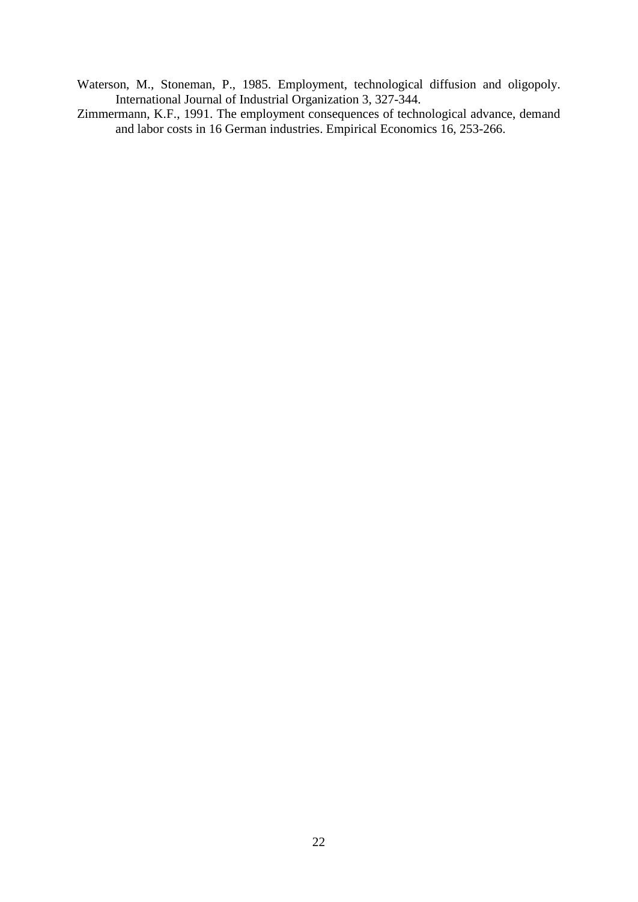- <span id="page-23-0"></span>Waterson, M., Stoneman, P., 1985. Employment, technological diffusion and oligopoly. International Journal of Industrial Organization 3, 327-344.
- <span id="page-23-1"></span>Zimmermann, K.F., 1991. The employment consequences of technological advance, demand and labor costs in 16 German industries. Empirical Economics 16, 253-266.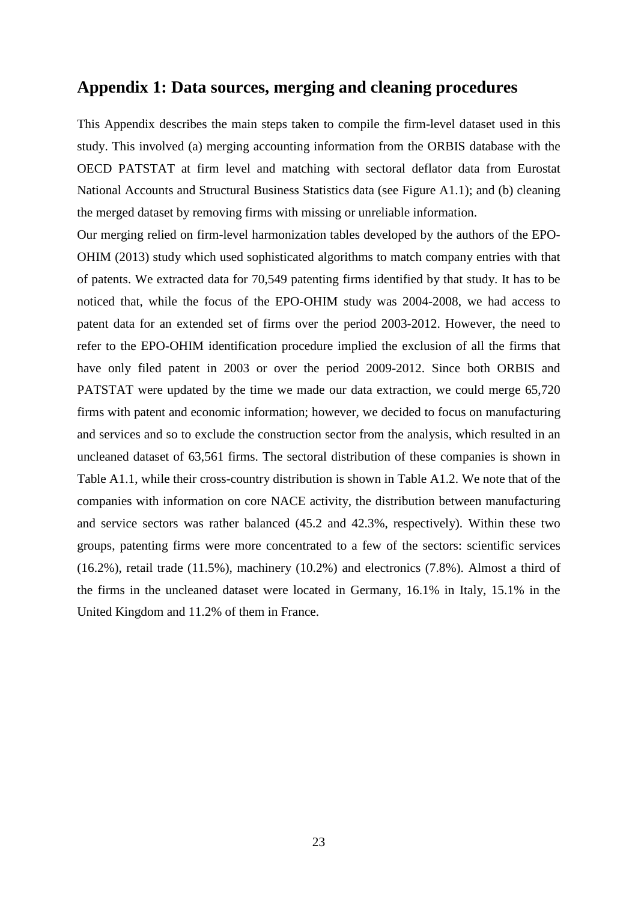### **Appendix 1: Data sources, merging and cleaning procedures**

This Appendix describes the main steps taken to compile the firm-level dataset used in this study. This involved (a) merging accounting information from the ORBIS database with the OECD PATSTAT at firm level and matching with sectoral deflator data from Eurostat National Accounts and Structural Business Statistics data (see [Figure A1.1\)](#page-25-0); and (b) cleaning the merged dataset by removing firms with missing or unreliable information.

Our merging relied on firm-level harmonization tables developed by the authors of the EPO-OHIM (2013) study which used sophisticated algorithms to match company entries with that of patents. We extracted data for 70,549 patenting firms identified by that study. It has to be noticed that, while the focus of the EPO-OHIM study was 2004-2008, we had access to patent data for an extended set of firms over the period 2003-2012. However, the need to refer to the EPO-OHIM identification procedure implied the exclusion of all the firms that have only filed patent in 2003 or over the period 2009-2012. Since both ORBIS and PATSTAT were updated by the time we made our data extraction, we could merge 65,720 firms with patent and economic information; however, we decided to focus on manufacturing and services and so to exclude the construction sector from the analysis, which resulted in an uncleaned dataset of 63,561 firms. The sectoral distribution of these companies is shown in Table A1.1, while their cross-country distribution is shown in Table A1.2. We note that of the companies with information on core NACE activity, the distribution between manufacturing and service sectors was rather balanced (45.2 and 42.3%, respectively). Within these two groups, patenting firms were more concentrated to a few of the sectors: scientific services (16.2%), retail trade (11.5%), machinery (10.2%) and electronics (7.8%). Almost a third of the firms in the uncleaned dataset were located in Germany, 16.1% in Italy, 15.1% in the United Kingdom and 11.2% of them in France.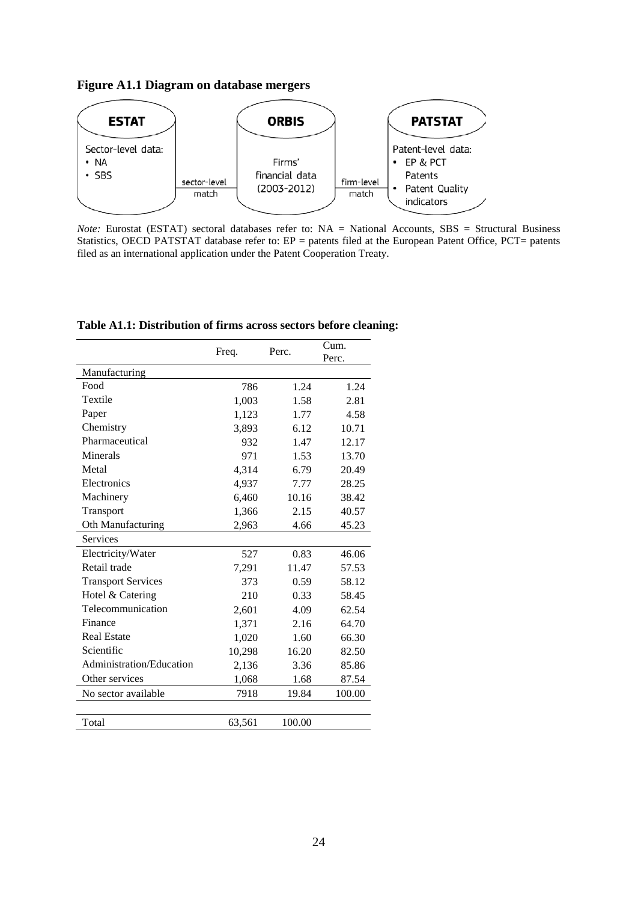<span id="page-25-0"></span>**Figure A1.1 Diagram on database mergers**



*Note:* Eurostat (ESTAT) sectoral databases refer to: NA = National Accounts, SBS = Structural Business Statistics, OECD PATSTAT database refer to: EP = patents filed at the European Patent Office, PCT= patents filed as an international application under the Patent Cooperation Treaty.

|                           | Freq.  | Perc.  | Cum.<br>Perc. |
|---------------------------|--------|--------|---------------|
| Manufacturing             |        |        |               |
| Food                      | 786    | 1.24   | 1.24          |
| Textile                   | 1,003  | 1.58   | 2.81          |
| Paper                     | 1,123  | 1.77   | 4.58          |
| Chemistry                 | 3,893  | 6.12   | 10.71         |
| Pharmaceutical            | 932    | 1.47   | 12.17         |
| Minerals                  | 971    | 1.53   | 13.70         |
| Metal                     | 4,314  | 6.79   | 20.49         |
| Electronics               | 4,937  | 7.77   | 28.25         |
| Machinery                 | 6,460  | 10.16  | 38.42         |
| Transport                 | 1,366  | 2.15   | 40.57         |
| Oth Manufacturing         | 2,963  | 4.66   | 45.23         |
| <b>Services</b>           |        |        |               |
| Electricity/Water         | 527    | 0.83   | 46.06         |
| Retail trade              | 7,291  | 11.47  | 57.53         |
| <b>Transport Services</b> | 373    | 0.59   | 58.12         |
| Hotel & Catering          | 210    | 0.33   | 58.45         |
| Telecommunication         | 2,601  | 4.09   | 62.54         |
| Finance                   | 1,371  | 2.16   | 64.70         |
| <b>Real Estate</b>        | 1,020  | 1.60   | 66.30         |
| Scientific                | 10,298 | 16.20  | 82.50         |
| Administration/Education  | 2,136  | 3.36   | 85.86         |
| Other services            | 1,068  | 1.68   | 87.54         |
| No sector available       | 7918   | 19.84  | 100.00        |
|                           |        |        |               |
| Total                     | 63,561 | 100.00 |               |

**Table A1.1: Distribution of firms across sectors before cleaning:**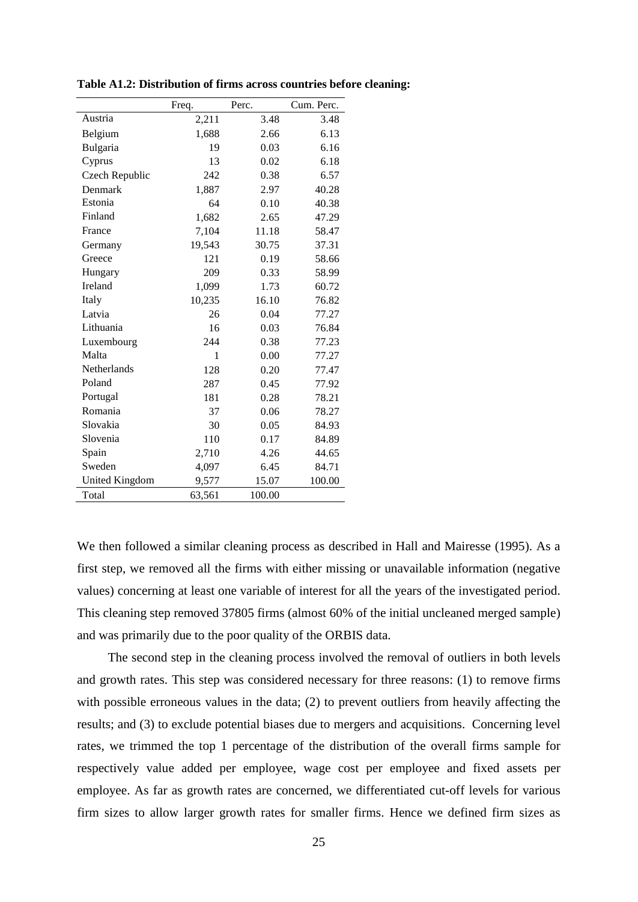|                       | Freq.  | Perc.  | Cum. Perc. |
|-----------------------|--------|--------|------------|
| Austria               | 2,211  | 3.48   | 3.48       |
| Belgium               | 1,688  | 2.66   | 6.13       |
| Bulgaria              | 19     | 0.03   | 6.16       |
| Cyprus                | 13     | 0.02   | 6.18       |
| Czech Republic        | 242    | 0.38   | 6.57       |
| Denmark               | 1,887  | 2.97   | 40.28      |
| Estonia               | 64     | 0.10   | 40.38      |
| Finland               | 1,682  | 2.65   | 47.29      |
| France                | 7,104  | 11.18  | 58.47      |
| Germany               | 19,543 | 30.75  | 37.31      |
| Greece                | 121    | 0.19   | 58.66      |
| Hungary               | 209    | 0.33   | 58.99      |
| Ireland               | 1,099  | 1.73   | 60.72      |
| Italy                 | 10,235 | 16.10  | 76.82      |
| Latvia                | 26     | 0.04   | 77.27      |
| Lithuania             | 16     | 0.03   | 76.84      |
| Luxembourg            | 244    | 0.38   | 77.23      |
| Malta                 | 1      | 0.00   | 77.27      |
| Netherlands           | 128    | 0.20   | 77.47      |
| Poland                | 287    | 0.45   | 77.92      |
| Portugal              | 181    | 0.28   | 78.21      |
| Romania               | 37     | 0.06   | 78.27      |
| Slovakia              | 30     | 0.05   | 84.93      |
| Slovenia              | 110    | 0.17   | 84.89      |
| Spain                 | 2,710  | 4.26   | 44.65      |
| Sweden                | 4,097  | 6.45   | 84.71      |
| <b>United Kingdom</b> | 9,577  | 15.07  | 100.00     |
| Total                 | 63,561 | 100.00 |            |

**Table A1.2: Distribution of firms across countries before cleaning:**

We then followed a similar cleaning process as described in [Hall and Mairesse \(1995\)](#page-21-18). As a first step, we removed all the firms with either missing or unavailable information (negative values) concerning at least one variable of interest for all the years of the investigated period. This cleaning step removed 37805 firms (almost 60% of the initial uncleaned merged sample) and was primarily due to the poor quality of the ORBIS data.

The second step in the cleaning process involved the removal of outliers in both levels and growth rates. This step was considered necessary for three reasons: (1) to remove firms with possible erroneous values in the data; (2) to prevent outliers from heavily affecting the results; and (3) to exclude potential biases due to mergers and acquisitions. Concerning level rates, we trimmed the top 1 percentage of the distribution of the overall firms sample for respectively value added per employee, wage cost per employee and fixed assets per employee. As far as growth rates are concerned, we differentiated cut-off levels for various firm sizes to allow larger growth rates for smaller firms. Hence we defined firm sizes as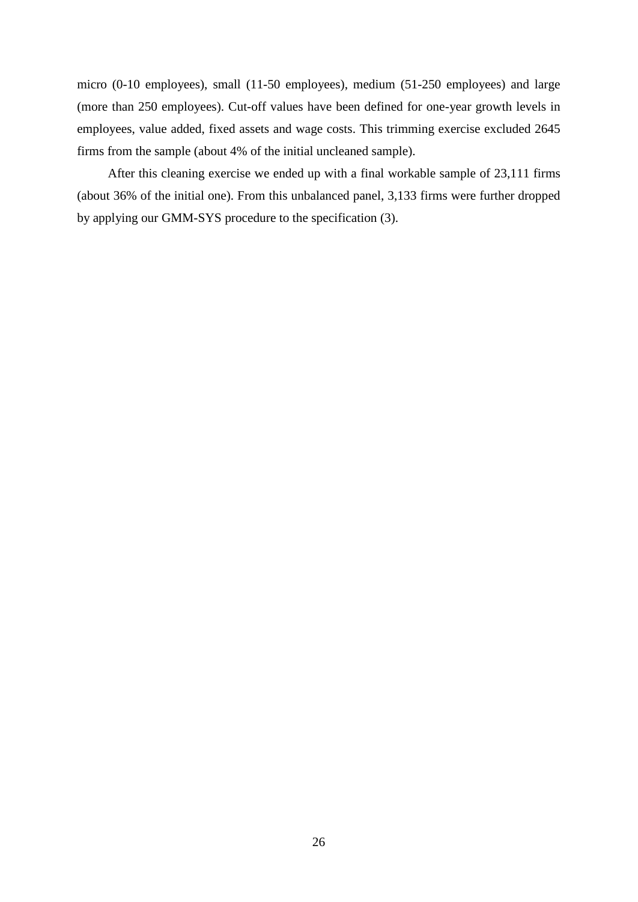micro (0-10 employees), small (11-50 employees), medium (51-250 employees) and large (more than 250 employees). Cut-off values have been defined for one-year growth levels in employees, value added, fixed assets and wage costs. This trimming exercise excluded 2645 firms from the sample (about 4% of the initial uncleaned sample).

After this cleaning exercise we ended up with a final workable sample of 23,111 firms (about 36% of the initial one). From this unbalanced panel, 3,133 firms were further dropped by applying our GMM-SYS procedure to the specification (3).